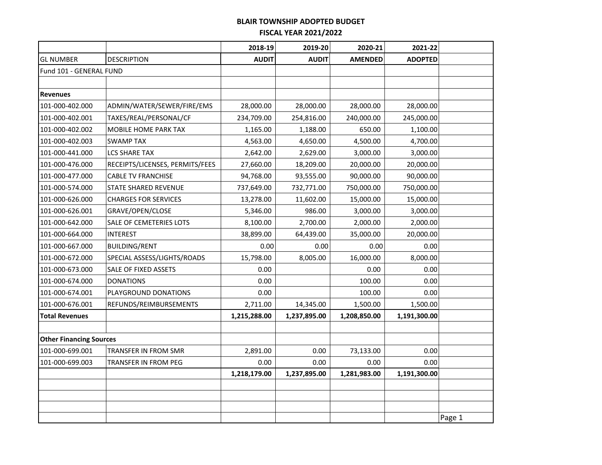|                                |                                 | 2018-19      | 2019-20      | 2020-21        | 2021-22        |        |
|--------------------------------|---------------------------------|--------------|--------------|----------------|----------------|--------|
| <b>GL NUMBER</b>               | <b>DESCRIPTION</b>              | <b>AUDIT</b> | <b>AUDIT</b> | <b>AMENDED</b> | <b>ADOPTED</b> |        |
| Fund 101 - GENERAL FUND        |                                 |              |              |                |                |        |
|                                |                                 |              |              |                |                |        |
| <b>Revenues</b>                |                                 |              |              |                |                |        |
| 101-000-402.000                | ADMIN/WATER/SEWER/FIRE/EMS      | 28,000.00    | 28,000.00    | 28,000.00      | 28,000.00      |        |
| 101-000-402.001                | TAXES/REAL/PERSONAL/CF          | 234,709.00   | 254,816.00   | 240,000.00     | 245,000.00     |        |
| 101-000-402.002                | MOBILE HOME PARK TAX            | 1,165.00     | 1,188.00     | 650.00         | 1,100.00       |        |
| 101-000-402.003                | <b>SWAMP TAX</b>                | 4,563.00     | 4,650.00     | 4,500.00       | 4,700.00       |        |
| 101-000-441.000                | <b>LCS SHARE TAX</b>            | 2,642.00     | 2,629.00     | 3,000.00       | 3,000.00       |        |
| 101-000-476.000                | RECEIPTS/LICENSES, PERMITS/FEES | 27,660.00    | 18,209.00    | 20,000.00      | 20,000.00      |        |
| 101-000-477.000                | <b>CABLE TV FRANCHISE</b>       | 94,768.00    | 93,555.00    | 90,000.00      | 90,000.00      |        |
| 101-000-574.000                | <b>STATE SHARED REVENUE</b>     | 737,649.00   | 732,771.00   | 750,000.00     | 750,000.00     |        |
| 101-000-626.000                | <b>CHARGES FOR SERVICES</b>     | 13,278.00    | 11,602.00    | 15,000.00      | 15,000.00      |        |
| 101-000-626.001                | GRAVE/OPEN/CLOSE                | 5,346.00     | 986.00       | 3,000.00       | 3,000.00       |        |
| 101-000-642.000                | SALE OF CEMETERIES LOTS         | 8,100.00     | 2,700.00     | 2,000.00       | 2,000.00       |        |
| 101-000-664.000                | <b>INTEREST</b>                 | 38,899.00    | 64,439.00    | 35,000.00      | 20,000.00      |        |
| 101-000-667.000                | <b>BUILDING/RENT</b>            | 0.00         | 0.00         | 0.00           | 0.00           |        |
| 101-000-672.000                | SPECIAL ASSESS/LIGHTS/ROADS     | 15,798.00    | 8,005.00     | 16,000.00      | 8,000.00       |        |
| 101-000-673.000                | SALE OF FIXED ASSETS            | 0.00         |              | 0.00           | 0.00           |        |
| 101-000-674.000                | <b>DONATIONS</b>                | 0.00         |              | 100.00         | 0.00           |        |
| 101-000-674.001                | PLAYGROUND DONATIONS            | 0.00         |              | 100.00         | 0.00           |        |
| 101-000-676.001                | REFUNDS/REIMBURSEMENTS          | 2,711.00     | 14,345.00    | 1,500.00       | 1,500.00       |        |
| <b>Total Revenues</b>          |                                 | 1,215,288.00 | 1,237,895.00 | 1,208,850.00   | 1,191,300.00   |        |
|                                |                                 |              |              |                |                |        |
| <b>Other Financing Sources</b> |                                 |              |              |                |                |        |
| 101-000-699.001                | TRANSFER IN FROM SMR            | 2,891.00     | 0.00         | 73,133.00      | 0.00           |        |
| 101-000-699.003                | TRANSFER IN FROM PEG            | 0.00         | 0.00         | 0.00           | 0.00           |        |
|                                |                                 | 1,218,179.00 | 1,237,895.00 | 1,281,983.00   | 1,191,300.00   |        |
|                                |                                 |              |              |                |                |        |
|                                |                                 |              |              |                |                |        |
|                                |                                 |              |              |                |                |        |
|                                |                                 |              |              |                |                | Page 1 |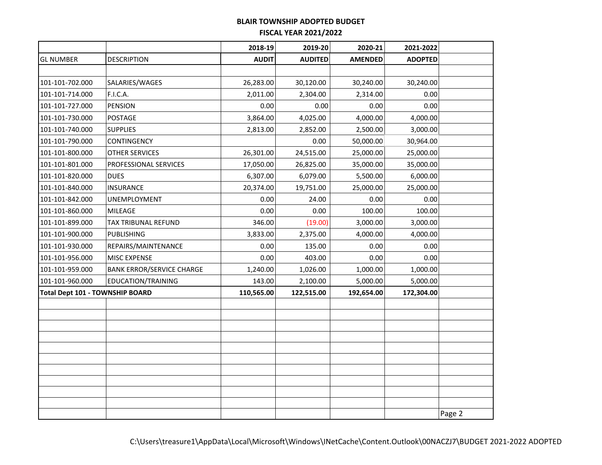|                                 |                                  | 2018-19      | 2019-20        | 2020-21        | 2021-2022      |        |
|---------------------------------|----------------------------------|--------------|----------------|----------------|----------------|--------|
| <b>GL NUMBER</b>                | <b>DESCRIPTION</b>               | <b>AUDIT</b> | <b>AUDITED</b> | <b>AMENDED</b> | <b>ADOPTED</b> |        |
|                                 |                                  |              |                |                |                |        |
| 101-101-702.000                 | SALARIES/WAGES                   | 26,283.00    | 30,120.00      | 30,240.00      | 30,240.00      |        |
| 101-101-714.000                 | <b>F.I.C.A.</b>                  | 2,011.00     | 2,304.00       | 2,314.00       | 0.00           |        |
| 101-101-727.000                 | <b>PENSION</b>                   | 0.00         | 0.00           | 0.00           | 0.00           |        |
| 101-101-730.000                 | POSTAGE                          | 3,864.00     | 4,025.00       | 4,000.00       | 4,000.00       |        |
| 101-101-740.000                 | <b>SUPPLIES</b>                  | 2,813.00     | 2,852.00       | 2,500.00       | 3,000.00       |        |
| 101-101-790.000                 | CONTINGENCY                      |              | 0.00           | 50,000.00      | 30,964.00      |        |
| 101-101-800.000                 | OTHER SERVICES                   | 26,301.00    | 24,515.00      | 25,000.00      | 25,000.00      |        |
| 101-101-801.000                 | PROFESSIONAL SERVICES            | 17,050.00    | 26,825.00      | 35,000.00      | 35,000.00      |        |
| 101-101-820.000                 | <b>DUES</b>                      | 6,307.00     | 6,079.00       | 5,500.00       | 6,000.00       |        |
| 101-101-840.000                 | <b>INSURANCE</b>                 | 20,374.00    | 19,751.00      | 25,000.00      | 25,000.00      |        |
| 101-101-842.000                 | UNEMPLOYMENT                     | 0.00         | 24.00          | 0.00           | 0.00           |        |
| 101-101-860.000                 | MILEAGE                          | 0.00         | 0.00           | 100.00         | 100.00         |        |
| 101-101-899.000                 | TAX TRIBUNAL REFUND              | 346.00       | (19.00)        | 3,000.00       | 3,000.00       |        |
| 101-101-900.000                 | <b>PUBLISHING</b>                | 3,833.00     | 2,375.00       | 4,000.00       | 4,000.00       |        |
| 101-101-930.000                 | REPAIRS/MAINTENANCE              | 0.00         | 135.00         | 0.00           | 0.00           |        |
| 101-101-956.000                 | MISC EXPENSE                     | 0.00         | 403.00         | 0.00           | 0.00           |        |
| 101-101-959.000                 | <b>BANK ERROR/SERVICE CHARGE</b> | 1,240.00     | 1,026.00       | 1,000.00       | 1,000.00       |        |
| 101-101-960.000                 | EDUCATION/TRAINING               | 143.00       | 2,100.00       | 5,000.00       | 5,000.00       |        |
| Total Dept 101 - TOWNSHIP BOARD |                                  | 110,565.00   | 122,515.00     | 192,654.00     | 172,304.00     |        |
|                                 |                                  |              |                |                |                |        |
|                                 |                                  |              |                |                |                |        |
|                                 |                                  |              |                |                |                |        |
|                                 |                                  |              |                |                |                |        |
|                                 |                                  |              |                |                |                |        |
|                                 |                                  |              |                |                |                |        |
|                                 |                                  |              |                |                |                |        |
|                                 |                                  |              |                |                |                |        |
|                                 |                                  |              |                |                |                |        |
|                                 |                                  |              |                |                |                | Page 2 |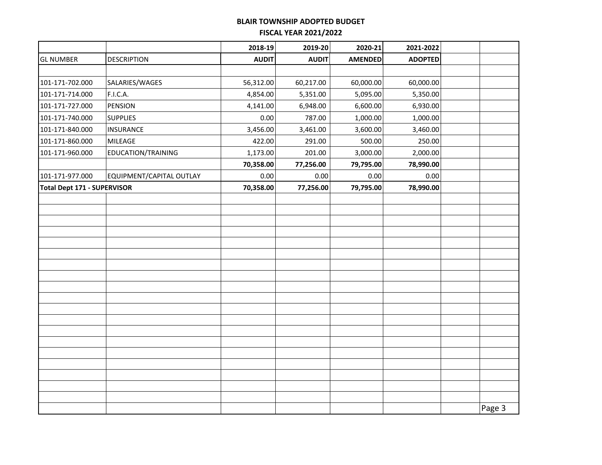|                                    |                          | 2018-19      | 2019-20      | 2020-21        | 2021-2022      |        |
|------------------------------------|--------------------------|--------------|--------------|----------------|----------------|--------|
| <b>GL NUMBER</b>                   | <b>DESCRIPTION</b>       | <b>AUDIT</b> | <b>AUDIT</b> | <b>AMENDED</b> | <b>ADOPTED</b> |        |
|                                    |                          |              |              |                |                |        |
| 101-171-702.000                    | SALARIES/WAGES           | 56,312.00    | 60,217.00    | 60,000.00      | 60,000.00      |        |
| 101-171-714.000                    | F.I.C.A.                 | 4,854.00     | 5,351.00     | 5,095.00       | 5,350.00       |        |
| 101-171-727.000                    | <b>PENSION</b>           | 4,141.00     | 6,948.00     | 6,600.00       | 6,930.00       |        |
| 101-171-740.000                    | <b>SUPPLIES</b>          | 0.00         | 787.00       | 1,000.00       | 1,000.00       |        |
| 101-171-840.000                    | <b>INSURANCE</b>         | 3,456.00     | 3,461.00     | 3,600.00       | 3,460.00       |        |
| 101-171-860.000                    | MILEAGE                  | 422.00       | 291.00       | 500.00         | 250.00         |        |
| 101-171-960.000                    | EDUCATION/TRAINING       | 1,173.00     | 201.00       | 3,000.00       | 2,000.00       |        |
|                                    |                          | 70,358.00    | 77,256.00    | 79,795.00      | 78,990.00      |        |
| 101-171-977.000                    | EQUIPMENT/CAPITAL OUTLAY | 0.00         | 0.00         | $0.00\,$       | 0.00           |        |
| <b>Total Dept 171 - SUPERVISOR</b> |                          | 70,358.00    | 77,256.00    | 79,795.00      | 78,990.00      |        |
|                                    |                          |              |              |                |                |        |
|                                    |                          |              |              |                |                |        |
|                                    |                          |              |              |                |                |        |
|                                    |                          |              |              |                |                |        |
|                                    |                          |              |              |                |                |        |
|                                    |                          |              |              |                |                |        |
|                                    |                          |              |              |                |                |        |
|                                    |                          |              |              |                |                |        |
|                                    |                          |              |              |                |                |        |
|                                    |                          |              |              |                |                |        |
|                                    |                          |              |              |                |                |        |
|                                    |                          |              |              |                |                |        |
|                                    |                          |              |              |                |                |        |
|                                    |                          |              |              |                |                |        |
|                                    |                          |              |              |                |                |        |
|                                    |                          |              |              |                |                |        |
|                                    |                          |              |              |                |                |        |
|                                    |                          |              |              |                |                |        |
|                                    |                          |              |              |                |                | Page 3 |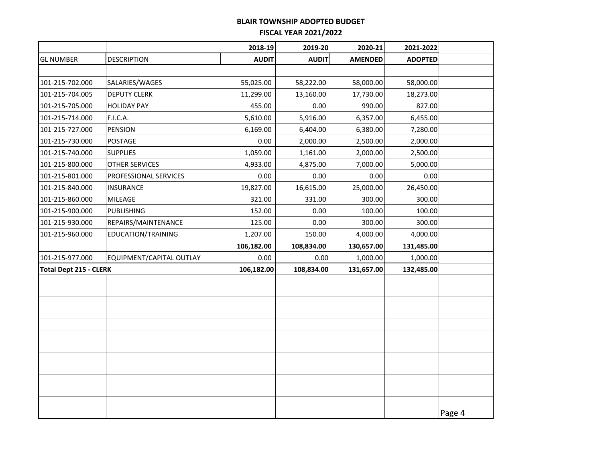|                               |                          | 2018-19      | 2019-20      | 2020-21        | 2021-2022      |        |
|-------------------------------|--------------------------|--------------|--------------|----------------|----------------|--------|
| <b>GL NUMBER</b>              | <b>DESCRIPTION</b>       | <b>AUDIT</b> | <b>AUDIT</b> | <b>AMENDED</b> | <b>ADOPTED</b> |        |
|                               |                          |              |              |                |                |        |
| 101-215-702.000               | SALARIES/WAGES           | 55,025.00    | 58,222.00    | 58,000.00      | 58,000.00      |        |
| 101-215-704.005               | <b>DEPUTY CLERK</b>      | 11,299.00    | 13,160.00    | 17,730.00      | 18,273.00      |        |
| 101-215-705.000               | <b>HOLIDAY PAY</b>       | 455.00       | 0.00         | 990.00         | 827.00         |        |
| 101-215-714.000               | F.I.C.A.                 | 5,610.00     | 5,916.00     | 6,357.00       | 6,455.00       |        |
| 101-215-727.000               | <b>PENSION</b>           | 6,169.00     | 6,404.00     | 6,380.00       | 7,280.00       |        |
| 101-215-730.000               | POSTAGE                  | 0.00         | 2,000.00     | 2,500.00       | 2,000.00       |        |
| 101-215-740.000               | <b>SUPPLIES</b>          | 1,059.00     | 1,161.00     | 2,000.00       | 2,500.00       |        |
| 101-215-800.000               | OTHER SERVICES           | 4,933.00     | 4,875.00     | 7,000.00       | 5,000.00       |        |
| 101-215-801.000               | PROFESSIONAL SERVICES    | 0.00         | 0.00         | 0.00           | 0.00           |        |
| 101-215-840.000               | <b>INSURANCE</b>         | 19,827.00    | 16,615.00    | 25,000.00      | 26,450.00      |        |
| 101-215-860.000               | <b>MILEAGE</b>           | 321.00       | 331.00       | 300.00         | 300.00         |        |
| 101-215-900.000               | <b>PUBLISHING</b>        | 152.00       | 0.00         | 100.00         | 100.00         |        |
| 101-215-930.000               | REPAIRS/MAINTENANCE      | 125.00       | 0.00         | 300.00         | 300.00         |        |
| 101-215-960.000               | EDUCATION/TRAINING       | 1,207.00     | 150.00       | 4,000.00       | 4,000.00       |        |
|                               |                          | 106,182.00   | 108,834.00   | 130,657.00     | 131,485.00     |        |
| 101-215-977.000               | EQUIPMENT/CAPITAL OUTLAY | 0.00         | 0.00         | 1,000.00       | 1,000.00       |        |
| <b>Total Dept 215 - CLERK</b> |                          | 106,182.00   | 108,834.00   | 131,657.00     | 132,485.00     |        |
|                               |                          |              |              |                |                |        |
|                               |                          |              |              |                |                |        |
|                               |                          |              |              |                |                |        |
|                               |                          |              |              |                |                |        |
|                               |                          |              |              |                |                |        |
|                               |                          |              |              |                |                |        |
|                               |                          |              |              |                |                |        |
|                               |                          |              |              |                |                |        |
|                               |                          |              |              |                |                |        |
|                               |                          |              |              |                |                |        |
|                               |                          |              |              |                |                |        |
|                               |                          |              |              |                |                | Page 4 |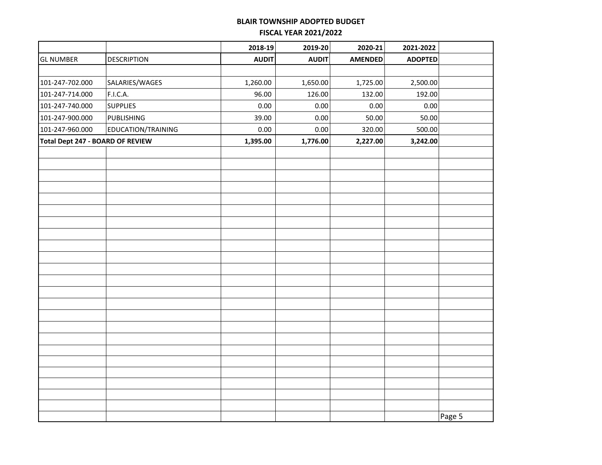|                                  |                    | 2018-19      | 2019-20      | 2020-21        | 2021-2022      |        |
|----------------------------------|--------------------|--------------|--------------|----------------|----------------|--------|
| <b>GL NUMBER</b>                 | <b>DESCRIPTION</b> | <b>AUDIT</b> | <b>AUDIT</b> | <b>AMENDED</b> | <b>ADOPTED</b> |        |
|                                  |                    |              |              |                |                |        |
| 101-247-702.000                  | SALARIES/WAGES     | 1,260.00     | 1,650.00     | 1,725.00       | 2,500.00       |        |
| 101-247-714.000                  | F.I.C.A.           | 96.00        | 126.00       | 132.00         | 192.00         |        |
| 101-247-740.000                  | <b>SUPPLIES</b>    | $0.00\,$     | 0.00         | 0.00           | 0.00           |        |
| 101-247-900.000                  | <b>PUBLISHING</b>  | 39.00        | 0.00         | 50.00          | 50.00          |        |
| 101-247-960.000                  | EDUCATION/TRAINING | 0.00         | 0.00         | 320.00         | 500.00         |        |
| Total Dept 247 - BOARD OF REVIEW |                    | 1,395.00     | 1,776.00     | 2,227.00       | 3,242.00       |        |
|                                  |                    |              |              |                |                |        |
|                                  |                    |              |              |                |                |        |
|                                  |                    |              |              |                |                |        |
|                                  |                    |              |              |                |                |        |
|                                  |                    |              |              |                |                |        |
|                                  |                    |              |              |                |                |        |
|                                  |                    |              |              |                |                |        |
|                                  |                    |              |              |                |                |        |
|                                  |                    |              |              |                |                |        |
|                                  |                    |              |              |                |                |        |
|                                  |                    |              |              |                |                |        |
|                                  |                    |              |              |                |                |        |
|                                  |                    |              |              |                |                |        |
|                                  |                    |              |              |                |                |        |
|                                  |                    |              |              |                |                |        |
|                                  |                    |              |              |                |                |        |
|                                  |                    |              |              |                |                |        |
|                                  |                    |              |              |                |                |        |
|                                  |                    |              |              |                |                |        |
|                                  |                    |              |              |                |                |        |
|                                  |                    |              |              |                |                |        |
|                                  |                    |              |              |                |                |        |
|                                  |                    |              |              |                |                |        |
|                                  |                    |              |              |                |                | Page 5 |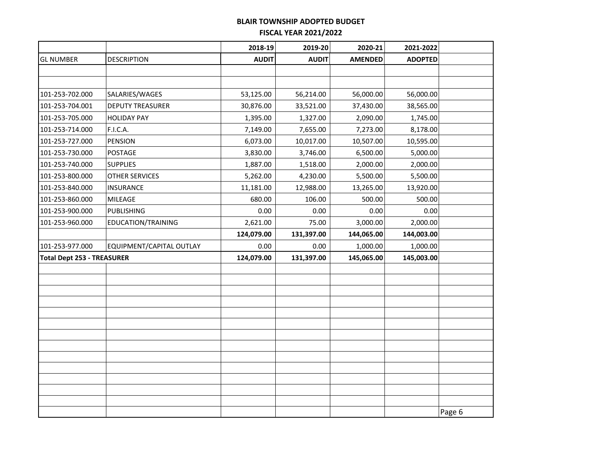|                                   |                          | 2018-19      | 2019-20      | 2020-21        | 2021-2022      |        |
|-----------------------------------|--------------------------|--------------|--------------|----------------|----------------|--------|
| <b>GL NUMBER</b>                  | <b>DESCRIPTION</b>       | <b>AUDIT</b> | <b>AUDIT</b> | <b>AMENDED</b> | <b>ADOPTED</b> |        |
|                                   |                          |              |              |                |                |        |
|                                   |                          |              |              |                |                |        |
| 101-253-702.000                   | SALARIES/WAGES           | 53,125.00    | 56,214.00    | 56,000.00      | 56,000.00      |        |
| 101-253-704.001                   | <b>DEPUTY TREASURER</b>  | 30,876.00    | 33,521.00    | 37,430.00      | 38,565.00      |        |
| 101-253-705.000                   | <b>HOLIDAY PAY</b>       | 1,395.00     | 1,327.00     | 2,090.00       | 1,745.00       |        |
| 101-253-714.000                   | F.I.C.A.                 | 7,149.00     | 7,655.00     | 7,273.00       | 8,178.00       |        |
| 101-253-727.000                   | PENSION                  | 6,073.00     | 10,017.00    | 10,507.00      | 10,595.00      |        |
| 101-253-730.000                   | POSTAGE                  | 3,830.00     | 3,746.00     | 6,500.00       | 5,000.00       |        |
| 101-253-740.000                   | <b>SUPPLIES</b>          | 1,887.00     | 1,518.00     | 2,000.00       | 2,000.00       |        |
| 101-253-800.000                   | <b>OTHER SERVICES</b>    | 5,262.00     | 4,230.00     | 5,500.00       | 5,500.00       |        |
| 101-253-840.000                   | <b>INSURANCE</b>         | 11,181.00    | 12,988.00    | 13,265.00      | 13,920.00      |        |
| 101-253-860.000                   | MILEAGE                  | 680.00       | 106.00       | 500.00         | 500.00         |        |
| 101-253-900.000                   | PUBLISHING               | 0.00         | 0.00         | 0.00           | 0.00           |        |
| 101-253-960.000                   | EDUCATION/TRAINING       | 2,621.00     | 75.00        | 3,000.00       | 2,000.00       |        |
|                                   |                          | 124,079.00   | 131,397.00   | 144,065.00     | 144,003.00     |        |
| 101-253-977.000                   | EQUIPMENT/CAPITAL OUTLAY | 0.00         | 0.00         | 1,000.00       | 1,000.00       |        |
| <b>Total Dept 253 - TREASURER</b> |                          | 124,079.00   | 131,397.00   | 145,065.00     | 145,003.00     |        |
|                                   |                          |              |              |                |                |        |
|                                   |                          |              |              |                |                |        |
|                                   |                          |              |              |                |                |        |
|                                   |                          |              |              |                |                |        |
|                                   |                          |              |              |                |                |        |
|                                   |                          |              |              |                |                |        |
|                                   |                          |              |              |                |                |        |
|                                   |                          |              |              |                |                |        |
|                                   |                          |              |              |                |                |        |
|                                   |                          |              |              |                |                |        |
|                                   |                          |              |              |                |                |        |
|                                   |                          |              |              |                |                |        |
|                                   |                          |              |              |                |                | Page 6 |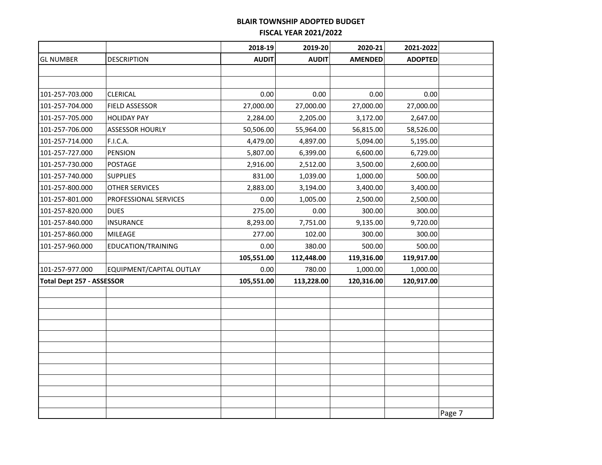|                                  |                          | 2018-19      | 2019-20      | 2020-21        | 2021-2022      |        |
|----------------------------------|--------------------------|--------------|--------------|----------------|----------------|--------|
| <b>GL NUMBER</b>                 | <b>DESCRIPTION</b>       | <b>AUDIT</b> | <b>AUDIT</b> | <b>AMENDED</b> | <b>ADOPTED</b> |        |
|                                  |                          |              |              |                |                |        |
|                                  |                          |              |              |                |                |        |
| 101-257-703.000                  | CLERICAL                 | 0.00         | 0.00         | 0.00           | 0.00           |        |
| 101-257-704.000                  | FIELD ASSESSOR           | 27,000.00    | 27,000.00    | 27,000.00      | 27,000.00      |        |
| 101-257-705.000                  | <b>HOLIDAY PAY</b>       | 2,284.00     | 2,205.00     | 3,172.00       | 2,647.00       |        |
| 101-257-706.000                  | ASSESSOR HOURLY          | 50,506.00    | 55,964.00    | 56,815.00      | 58,526.00      |        |
| 101-257-714.000                  | F.I.C.A.                 | 4,479.00     | 4,897.00     | 5,094.00       | 5,195.00       |        |
| 101-257-727.000                  | PENSION                  | 5,807.00     | 6,399.00     | 6,600.00       | 6,729.00       |        |
| 101-257-730.000                  | POSTAGE                  | 2,916.00     | 2,512.00     | 3,500.00       | 2,600.00       |        |
| 101-257-740.000                  | <b>SUPPLIES</b>          | 831.00       | 1,039.00     | 1,000.00       | 500.00         |        |
| 101-257-800.000                  | OTHER SERVICES           | 2,883.00     | 3,194.00     | 3,400.00       | 3,400.00       |        |
| 101-257-801.000                  | PROFESSIONAL SERVICES    | 0.00         | 1,005.00     | 2,500.00       | 2,500.00       |        |
| 101-257-820.000                  | <b>DUES</b>              | 275.00       | 0.00         | 300.00         | 300.00         |        |
| 101-257-840.000                  | INSURANCE                | 8,293.00     | 7,751.00     | 9,135.00       | 9,720.00       |        |
| 101-257-860.000                  | MILEAGE                  | 277.00       | 102.00       | 300.00         | 300.00         |        |
| 101-257-960.000                  | EDUCATION/TRAINING       | 0.00         | 380.00       | 500.00         | 500.00         |        |
|                                  |                          | 105,551.00   | 112,448.00   | 119,316.00     | 119,917.00     |        |
| 101-257-977.000                  | EQUIPMENT/CAPITAL OUTLAY | 0.00         | 780.00       | 1,000.00       | 1,000.00       |        |
| <b>Total Dept 257 - ASSESSOR</b> |                          | 105,551.00   | 113,228.00   | 120,316.00     | 120,917.00     |        |
|                                  |                          |              |              |                |                |        |
|                                  |                          |              |              |                |                |        |
|                                  |                          |              |              |                |                |        |
|                                  |                          |              |              |                |                |        |
|                                  |                          |              |              |                |                |        |
|                                  |                          |              |              |                |                |        |
|                                  |                          |              |              |                |                |        |
|                                  |                          |              |              |                |                |        |
|                                  |                          |              |              |                |                |        |
|                                  |                          |              |              |                |                |        |
|                                  |                          |              |              |                |                | Page 7 |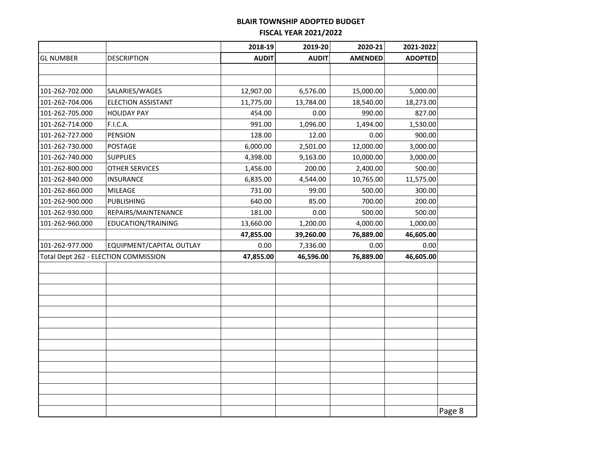|                  |                                      | 2018-19      | 2019-20      | 2020-21        | 2021-2022      |        |
|------------------|--------------------------------------|--------------|--------------|----------------|----------------|--------|
| <b>GL NUMBER</b> | DESCRIPTION                          | <b>AUDIT</b> | <b>AUDIT</b> | <b>AMENDED</b> | <b>ADOPTED</b> |        |
|                  |                                      |              |              |                |                |        |
|                  |                                      |              |              |                |                |        |
| 101-262-702.000  | SALARIES/WAGES                       | 12,907.00    | 6,576.00     | 15,000.00      | 5,000.00       |        |
| 101-262-704.006  | <b>ELECTION ASSISTANT</b>            | 11,775.00    | 13,784.00    | 18,540.00      | 18,273.00      |        |
| 101-262-705.000  | <b>HOLIDAY PAY</b>                   | 454.00       | 0.00         | 990.00         | 827.00         |        |
| 101-262-714.000  | F.I.C.A.                             | 991.00       | 1,096.00     | 1,494.00       | 1,530.00       |        |
| 101-262-727.000  | <b>PENSION</b>                       | 128.00       | 12.00        | 0.00           | 900.00         |        |
| 101-262-730.000  | <b>POSTAGE</b>                       | 6,000.00     | 2,501.00     | 12,000.00      | 3,000.00       |        |
| 101-262-740.000  | <b>SUPPLIES</b>                      | 4,398.00     | 9,163.00     | 10,000.00      | 3,000.00       |        |
| 101-262-800.000  | OTHER SERVICES                       | 1,456.00     | 200.00       | 2,400.00       | 500.00         |        |
| 101-262-840.000  | INSURANCE                            | 6,835.00     | 4,544.00     | 10,765.00      | 11,575.00      |        |
| 101-262-860.000  | MILEAGE                              | 731.00       | 99.00        | 500.00         | 300.00         |        |
| 101-262-900.000  | <b>PUBLISHING</b>                    | 640.00       | 85.00        | 700.00         | 200.00         |        |
| 101-262-930.000  | REPAIRS/MAINTENANCE                  | 181.00       | 0.00         | 500.00         | 500.00         |        |
| 101-262-960.000  | EDUCATION/TRAINING                   | 13,660.00    | 1,200.00     | 4,000.00       | 1,000.00       |        |
|                  |                                      | 47,855.00    | 39,260.00    | 76,889.00      | 46,605.00      |        |
| 101-262-977.000  | EQUIPMENT/CAPITAL OUTLAY             | 0.00         | 7,336.00     | 0.00           | 0.00           |        |
|                  | Total Dept 262 - ELECTION COMMISSION | 47,855.00    | 46,596.00    | 76,889.00      | 46,605.00      |        |
|                  |                                      |              |              |                |                |        |
|                  |                                      |              |              |                |                |        |
|                  |                                      |              |              |                |                |        |
|                  |                                      |              |              |                |                |        |
|                  |                                      |              |              |                |                |        |
|                  |                                      |              |              |                |                |        |
|                  |                                      |              |              |                |                |        |
|                  |                                      |              |              |                |                |        |
|                  |                                      |              |              |                |                |        |
|                  |                                      |              |              |                |                |        |
|                  |                                      |              |              |                |                |        |
|                  |                                      |              |              |                |                |        |
|                  |                                      |              |              |                |                |        |
|                  |                                      |              |              |                |                | Page 8 |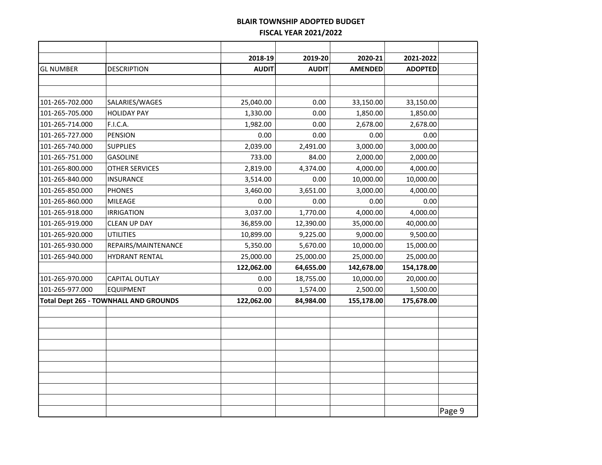|                  |                                              | 2018-19      | 2019-20      | 2020-21        | 2021-2022      |        |
|------------------|----------------------------------------------|--------------|--------------|----------------|----------------|--------|
| <b>GL NUMBER</b> | <b>DESCRIPTION</b>                           | <b>AUDIT</b> | <b>AUDIT</b> | <b>AMENDED</b> | <b>ADOPTED</b> |        |
|                  |                                              |              |              |                |                |        |
|                  |                                              |              |              |                |                |        |
| 101-265-702.000  | SALARIES/WAGES                               | 25,040.00    | 0.00         | 33,150.00      | 33,150.00      |        |
| 101-265-705.000  | <b>HOLIDAY PAY</b>                           | 1,330.00     | 0.00         | 1,850.00       | 1,850.00       |        |
| 101-265-714.000  | F.I.C.A.                                     | 1,982.00     | 0.00         | 2,678.00       | 2,678.00       |        |
| 101-265-727.000  | <b>PENSION</b>                               | 0.00         | 0.00         | 0.00           | 0.00           |        |
| 101-265-740.000  | <b>SUPPLIES</b>                              | 2,039.00     | 2,491.00     | 3,000.00       | 3,000.00       |        |
| 101-265-751.000  | <b>GASOLINE</b>                              | 733.00       | 84.00        | 2,000.00       | 2,000.00       |        |
| 101-265-800.000  | <b>OTHER SERVICES</b>                        | 2,819.00     | 4,374.00     | 4,000.00       | 4,000.00       |        |
| 101-265-840.000  | <b>INSURANCE</b>                             | 3,514.00     | 0.00         | 10,000.00      | 10,000.00      |        |
| 101-265-850.000  | <b>PHONES</b>                                | 3,460.00     | 3,651.00     | 3,000.00       | 4,000.00       |        |
| 101-265-860.000  | <b>MILEAGE</b>                               | 0.00         | 0.00         | 0.00           | 0.00           |        |
| 101-265-918.000  | <b>IRRIGATION</b>                            | 3,037.00     | 1,770.00     | 4,000.00       | 4,000.00       |        |
| 101-265-919.000  | <b>CLEAN UP DAY</b>                          | 36,859.00    | 12,390.00    | 35,000.00      | 40,000.00      |        |
| 101-265-920.000  | <b>UTILITIES</b>                             | 10,899.00    | 9,225.00     | 9,000.00       | 9,500.00       |        |
| 101-265-930.000  | REPAIRS/MAINTENANCE                          | 5,350.00     | 5,670.00     | 10,000.00      | 15,000.00      |        |
| 101-265-940.000  | <b>HYDRANT RENTAL</b>                        | 25,000.00    | 25,000.00    | 25,000.00      | 25,000.00      |        |
|                  |                                              | 122,062.00   | 64,655.00    | 142,678.00     | 154,178.00     |        |
| 101-265-970.000  | CAPITAL OUTLAY                               | 0.00         | 18,755.00    | 10,000.00      | 20,000.00      |        |
| 101-265-977.000  | <b>EQUIPMENT</b>                             | 0.00         | 1,574.00     | 2,500.00       | 1,500.00       |        |
|                  | <b>Total Dept 265 - TOWNHALL AND GROUNDS</b> | 122,062.00   | 84,984.00    | 155,178.00     | 175,678.00     |        |
|                  |                                              |              |              |                |                |        |
|                  |                                              |              |              |                |                |        |
|                  |                                              |              |              |                |                |        |
|                  |                                              |              |              |                |                |        |
|                  |                                              |              |              |                |                |        |
|                  |                                              |              |              |                |                |        |
|                  |                                              |              |              |                |                |        |
|                  |                                              |              |              |                |                |        |
|                  |                                              |              |              |                |                |        |
|                  |                                              |              |              |                |                | Page 9 |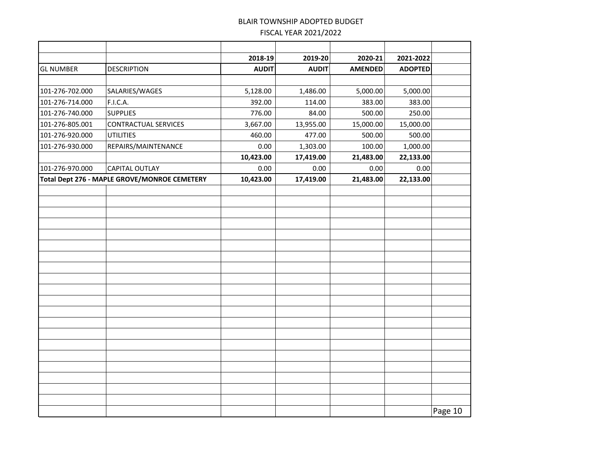|                  |                                              | 2018-19      | 2019-20      | 2020-21        | 2021-2022      |         |
|------------------|----------------------------------------------|--------------|--------------|----------------|----------------|---------|
| <b>GL NUMBER</b> | <b>DESCRIPTION</b>                           | <b>AUDIT</b> | <b>AUDIT</b> | <b>AMENDED</b> | <b>ADOPTED</b> |         |
|                  |                                              |              |              |                |                |         |
| 101-276-702.000  | SALARIES/WAGES                               | 5,128.00     | 1,486.00     | 5,000.00       | 5,000.00       |         |
| 101-276-714.000  | F.I.C.A.                                     | 392.00       | 114.00       | 383.00         | 383.00         |         |
| 101-276-740.000  | <b>SUPPLIES</b>                              | 776.00       | 84.00        | 500.00         | 250.00         |         |
| 101-276-805.001  | <b>CONTRACTUAL SERVICES</b>                  | 3,667.00     | 13,955.00    | 15,000.00      | 15,000.00      |         |
| 101-276-920.000  | <b>UTILITIES</b>                             | 460.00       | 477.00       | 500.00         | 500.00         |         |
| 101-276-930.000  | REPAIRS/MAINTENANCE                          | 0.00         | 1,303.00     | 100.00         | 1,000.00       |         |
|                  |                                              | 10,423.00    | 17,419.00    | 21,483.00      | 22,133.00      |         |
| 101-276-970.000  | <b>CAPITAL OUTLAY</b>                        | 0.00         | 0.00         | 0.00           | 0.00           |         |
|                  | Total Dept 276 - MAPLE GROVE/MONROE CEMETERY | 10,423.00    | 17,419.00    | 21,483.00      | 22,133.00      |         |
|                  |                                              |              |              |                |                |         |
|                  |                                              |              |              |                |                |         |
|                  |                                              |              |              |                |                |         |
|                  |                                              |              |              |                |                |         |
|                  |                                              |              |              |                |                |         |
|                  |                                              |              |              |                |                |         |
|                  |                                              |              |              |                |                |         |
|                  |                                              |              |              |                |                |         |
|                  |                                              |              |              |                |                |         |
|                  |                                              |              |              |                |                |         |
|                  |                                              |              |              |                |                |         |
|                  |                                              |              |              |                |                |         |
|                  |                                              |              |              |                |                |         |
|                  |                                              |              |              |                |                |         |
|                  |                                              |              |              |                |                |         |
|                  |                                              |              |              |                |                |         |
|                  |                                              |              |              |                |                |         |
|                  |                                              |              |              |                |                |         |
|                  |                                              |              |              |                |                |         |
|                  |                                              |              |              |                |                |         |
|                  |                                              |              |              |                |                | Page 10 |
|                  |                                              |              |              |                |                |         |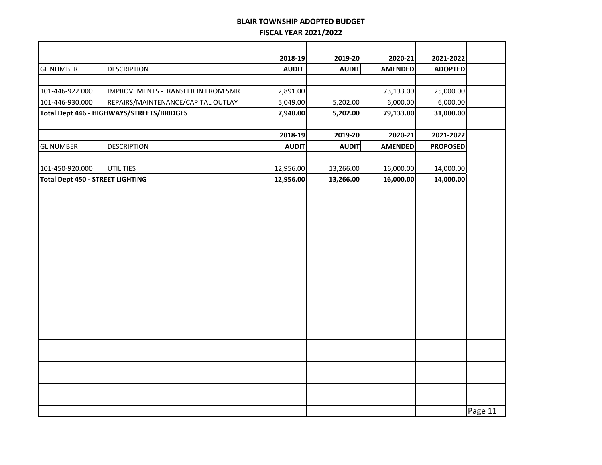|                                         |                                           | 2018-19      | 2019-20      | 2020-21        | 2021-2022       |         |
|-----------------------------------------|-------------------------------------------|--------------|--------------|----------------|-----------------|---------|
| <b>GL NUMBER</b>                        | <b>DESCRIPTION</b>                        | <b>AUDIT</b> | <b>AUDIT</b> | <b>AMENDED</b> | <b>ADOPTED</b>  |         |
|                                         |                                           |              |              |                |                 |         |
| 101-446-922.000                         | IMPROVEMENTS - TRANSFER IN FROM SMR       | 2,891.00     |              | 73,133.00      | 25,000.00       |         |
| 101-446-930.000                         | REPAIRS/MAINTENANCE/CAPITAL OUTLAY        | 5,049.00     | 5,202.00     | 6,000.00       | 6,000.00        |         |
|                                         | Total Dept 446 - HIGHWAYS/STREETS/BRIDGES | 7,940.00     | 5,202.00     | 79,133.00      | 31,000.00       |         |
|                                         |                                           |              |              |                |                 |         |
|                                         |                                           | 2018-19      | 2019-20      | 2020-21        | 2021-2022       |         |
| <b>GL NUMBER</b>                        | <b>DESCRIPTION</b>                        | <b>AUDIT</b> | <b>AUDIT</b> | <b>AMENDED</b> | <b>PROPOSED</b> |         |
|                                         |                                           |              |              |                |                 |         |
| 101-450-920.000                         | <b>UTILITIES</b>                          | 12,956.00    | 13,266.00    | 16,000.00      | 14,000.00       |         |
| <b>Total Dept 450 - STREET LIGHTING</b> |                                           | 12,956.00    | 13,266.00    | 16,000.00      | 14,000.00       |         |
|                                         |                                           |              |              |                |                 |         |
|                                         |                                           |              |              |                |                 |         |
|                                         |                                           |              |              |                |                 |         |
|                                         |                                           |              |              |                |                 |         |
|                                         |                                           |              |              |                |                 |         |
|                                         |                                           |              |              |                |                 |         |
|                                         |                                           |              |              |                |                 |         |
|                                         |                                           |              |              |                |                 |         |
|                                         |                                           |              |              |                |                 |         |
|                                         |                                           |              |              |                |                 |         |
|                                         |                                           |              |              |                |                 |         |
|                                         |                                           |              |              |                |                 |         |
|                                         |                                           |              |              |                |                 |         |
|                                         |                                           |              |              |                |                 |         |
|                                         |                                           |              |              |                |                 |         |
|                                         |                                           |              |              |                |                 |         |
|                                         |                                           |              |              |                |                 |         |
|                                         |                                           |              |              |                |                 |         |
|                                         |                                           |              |              |                |                 |         |
|                                         |                                           |              |              |                |                 |         |
|                                         |                                           |              |              |                |                 | Page 11 |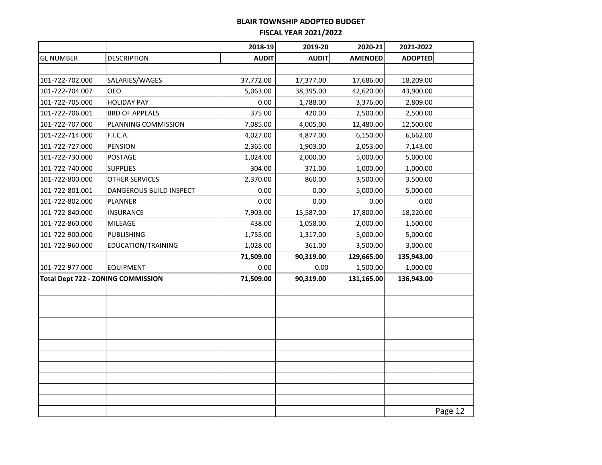|                  |                                    | 2018-19      | 2019-20      | 2020-21        | 2021-2022      |         |
|------------------|------------------------------------|--------------|--------------|----------------|----------------|---------|
| <b>GL NUMBER</b> | <b>DESCRIPTION</b>                 | <b>AUDIT</b> | <b>AUDIT</b> | <b>AMENDED</b> | <b>ADOPTED</b> |         |
|                  |                                    |              |              |                |                |         |
| 101-722-702.000  | SALARIES/WAGES                     | 37,772.00    | 17,377.00    | 17,686.00      | 18,209.00      |         |
| 101-722-704.007  | <b>OEO</b>                         | 5,063.00     | 38,395.00    | 42,620.00      | 43,900.00      |         |
| 101-722-705.000  | <b>HOLIDAY PAY</b>                 | 0.00         | 1,788.00     | 3,376.00       | 2,809.00       |         |
| 101-722-706.001  | <b>BRD OF APPEALS</b>              | 375.00       | 420.00       | 2,500.00       | 2,500.00       |         |
| 101-722-707.000  | PLANNING COMMISSION                | 7,085.00     | 4,005.00     | 12,480.00      | 12,500.00      |         |
| 101-722-714.000  | <b>F.I.C.A.</b>                    | 4,027.00     | 4,877.00     | 6,150.00       | 6,662.00       |         |
| 101-722-727.000  | <b>PENSION</b>                     | 2,365.00     | 1,903.00     | 2,053.00       | 7,143.00       |         |
| 101-722-730.000  | POSTAGE                            | 1,024.00     | 2,000.00     | 5,000.00       | 5,000.00       |         |
| 101-722-740.000  | <b>SUPPLIES</b>                    | 304.00       | 371.00       | 1,000.00       | 1,000.00       |         |
| 101-722-800.000  | <b>OTHER SERVICES</b>              | 2,370.00     | 860.00       | 3,500.00       | 3,500.00       |         |
| 101-722-801.001  | DANGEROUS BUILD INSPECT            | 0.00         | 0.00         | 5,000.00       | 5,000.00       |         |
| 101-722-802.000  | <b>PLANNER</b>                     | 0.00         | 0.00         | 0.00           | 0.00           |         |
| 101-722-840.000  | <b>INSURANCE</b>                   | 7,903.00     | 15,587.00    | 17,800.00      | 18,220.00      |         |
| 101-722-860.000  | MILEAGE                            | 438.00       | 1,058.00     | 2,000.00       | 1,500.00       |         |
| 101-722-900.000  | <b>PUBLISHING</b>                  | 1,755.00     | 1,317.00     | 5,000.00       | 5,000.00       |         |
| 101-722-960.000  | EDUCATION/TRAINING                 | 1,028.00     | 361.00       | 3,500.00       | 3,000.00       |         |
|                  |                                    | 71,509.00    | 90,319.00    | 129,665.00     | 135,943.00     |         |
| 101-722-977.000  | <b>EQUIPMENT</b>                   | 0.00         | 0.00         | 1,500.00       | 1,000.00       |         |
|                  | Total Dept 722 - ZONING COMMISSION | 71,509.00    | 90,319.00    | 131,165.00     | 136,943.00     |         |
|                  |                                    |              |              |                |                |         |
|                  |                                    |              |              |                |                |         |
|                  |                                    |              |              |                |                |         |
|                  |                                    |              |              |                |                |         |
|                  |                                    |              |              |                |                |         |
|                  |                                    |              |              |                |                |         |
|                  |                                    |              |              |                |                |         |
|                  |                                    |              |              |                |                |         |
|                  |                                    |              |              |                |                |         |
|                  |                                    |              |              |                |                |         |
|                  |                                    |              |              |                |                |         |
|                  |                                    |              |              |                |                | Page 12 |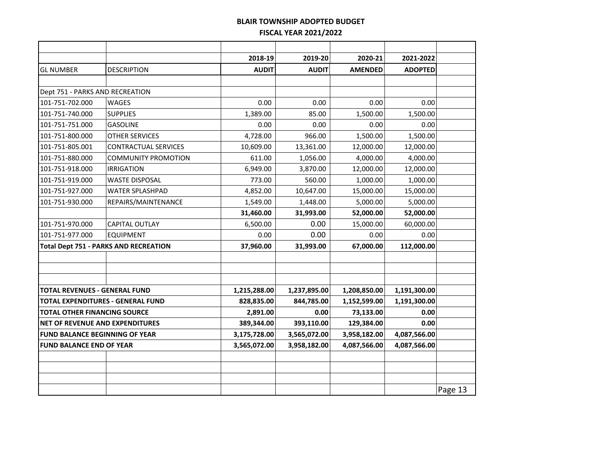|                                        |                                              | 2018-19      | 2019-20      | 2020-21        | 2021-2022      |         |
|----------------------------------------|----------------------------------------------|--------------|--------------|----------------|----------------|---------|
| <b>GL NUMBER</b>                       | <b>DESCRIPTION</b>                           | <b>AUDIT</b> | <b>AUDIT</b> | <b>AMENDED</b> | <b>ADOPTED</b> |         |
|                                        |                                              |              |              |                |                |         |
| Dept 751 - PARKS AND RECREATION        |                                              |              |              |                |                |         |
| 101-751-702.000                        | <b>WAGES</b>                                 | 0.00         | 0.00         | 0.00           | 0.00           |         |
| 101-751-740.000                        | <b>SUPPLIES</b>                              | 1,389.00     | 85.00        | 1,500.00       | 1,500.00       |         |
| 101-751-751.000                        | <b>GASOLINE</b>                              | 0.00         | 0.00         | 0.00           | 0.00           |         |
| 101-751-800.000                        | OTHER SERVICES                               | 4,728.00     | 966.00       | 1,500.00       | 1,500.00       |         |
| 101-751-805.001                        | <b>CONTRACTUAL SERVICES</b>                  | 10,609.00    | 13,361.00    | 12,000.00      | 12,000.00      |         |
| 101-751-880.000                        | <b>COMMUNITY PROMOTION</b>                   | 611.00       | 1,056.00     | 4,000.00       | 4,000.00       |         |
| 101-751-918.000                        | <b>IRRIGATION</b>                            | 6,949.00     | 3,870.00     | 12,000.00      | 12,000.00      |         |
| 101-751-919.000                        | <b>WASTE DISPOSAL</b>                        | 773.00       | 560.00       | 1,000.00       | 1,000.00       |         |
| 101-751-927.000                        | <b>WATER SPLASHPAD</b>                       | 4,852.00     | 10,647.00    | 15,000.00      | 15,000.00      |         |
| 101-751-930.000                        | REPAIRS/MAINTENANCE                          | 1,549.00     | 1,448.00     | 5,000.00       | 5,000.00       |         |
|                                        |                                              | 31,460.00    | 31,993.00    | 52,000.00      | 52,000.00      |         |
| 101-751-970.000                        | <b>CAPITAL OUTLAY</b>                        | 6,500.00     | 0.00         | 15,000.00      | 60,000.00      |         |
| 101-751-977.000                        | <b>EQUIPMENT</b>                             | 0.00         | 0.00         | 0.00           | 0.00           |         |
|                                        | <b>Total Dept 751 - PARKS AND RECREATION</b> | 37,960.00    | 31,993.00    | 67,000.00      | 112,000.00     |         |
|                                        |                                              |              |              |                |                |         |
|                                        |                                              |              |              |                |                |         |
|                                        |                                              |              |              |                |                |         |
| <b>TOTAL REVENUES - GENERAL FUND</b>   |                                              | 1,215,288.00 | 1,237,895.00 | 1,208,850.00   | 1,191,300.00   |         |
|                                        | <b>TOTAL EXPENDITURES - GENERAL FUND</b>     | 828,835.00   | 844,785.00   | 1,152,599.00   | 1,191,300.00   |         |
| <b>TOTAL OTHER FINANCING SOURCE</b>    |                                              | 2,891.00     | 0.00         | 73,133.00      | 0.00           |         |
| <b>NET OF REVENUE AND EXPENDITURES</b> |                                              | 389,344.00   | 393,110.00   | 129,384.00     | 0.00           |         |
| <b>FUND BALANCE BEGINNING OF YEAR</b>  |                                              | 3,175,728.00 | 3,565,072.00 | 3,958,182.00   | 4,087,566.00   |         |
| <b>FUND BALANCE END OF YEAR</b>        |                                              | 3,565,072.00 | 3,958,182.00 | 4,087,566.00   | 4,087,566.00   |         |
|                                        |                                              |              |              |                |                |         |
|                                        |                                              |              |              |                |                |         |
|                                        |                                              |              |              |                |                |         |
|                                        |                                              |              |              |                |                | Page 13 |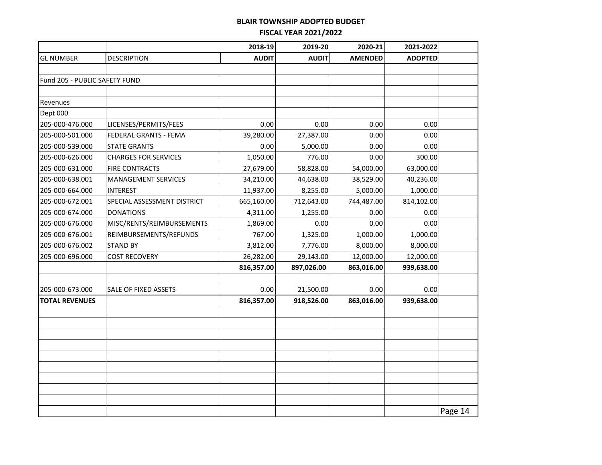|                               |                             | 2018-19      | 2019-20      | 2020-21        | 2021-2022      |         |
|-------------------------------|-----------------------------|--------------|--------------|----------------|----------------|---------|
| <b>GL NUMBER</b>              | <b>DESCRIPTION</b>          | <b>AUDIT</b> | <b>AUDIT</b> | <b>AMENDED</b> | <b>ADOPTED</b> |         |
|                               |                             |              |              |                |                |         |
| Fund 205 - PUBLIC SAFETY FUND |                             |              |              |                |                |         |
|                               |                             |              |              |                |                |         |
| Revenues                      |                             |              |              |                |                |         |
| Dept 000                      |                             |              |              |                |                |         |
| 205-000-476.000               | LICENSES/PERMITS/FEES       | 0.00         | 0.00         | 0.00           | 0.00           |         |
| 205-000-501.000               | FEDERAL GRANTS - FEMA       | 39,280.00    | 27,387.00    | 0.00           | 0.00           |         |
| 205-000-539.000               | <b>STATE GRANTS</b>         | 0.00         | 5,000.00     | 0.00           | 0.00           |         |
| 205-000-626.000               | <b>CHARGES FOR SERVICES</b> | 1,050.00     | 776.00       | 0.00           | 300.00         |         |
| 205-000-631.000               | <b>FIRE CONTRACTS</b>       | 27,679.00    | 58,828.00    | 54,000.00      | 63,000.00      |         |
| 205-000-638.001               | <b>MANAGEMENT SERVICES</b>  | 34,210.00    | 44,638.00    | 38,529.00      | 40,236.00      |         |
| 205-000-664.000               | <b>INTEREST</b>             | 11,937.00    | 8,255.00     | 5,000.00       | 1,000.00       |         |
| 205-000-672.001               | SPECIAL ASSESSMENT DISTRICT | 665,160.00   | 712,643.00   | 744,487.00     | 814,102.00     |         |
| 205-000-674.000               | <b>DONATIONS</b>            | 4,311.00     | 1,255.00     | 0.00           | 0.00           |         |
| 205-000-676.000               | MISC/RENTS/REIMBURSEMENTS   | 1,869.00     | 0.00         | 0.00           | 0.00           |         |
| 205-000-676.001               | REIMBURSEMENTS/REFUNDS      | 767.00       | 1,325.00     | 1,000.00       | 1,000.00       |         |
| 205-000-676.002               | <b>STAND BY</b>             | 3,812.00     | 7,776.00     | 8,000.00       | 8,000.00       |         |
| 205-000-696.000               | <b>COST RECOVERY</b>        | 26,282.00    | 29,143.00    | 12,000.00      | 12,000.00      |         |
|                               |                             | 816,357.00   | 897,026.00   | 863,016.00     | 939,638.00     |         |
|                               |                             |              |              |                |                |         |
| 205-000-673.000               | SALE OF FIXED ASSETS        | 0.00         | 21,500.00    | 0.00           | 0.00           |         |
| <b>TOTAL REVENUES</b>         |                             | 816,357.00   | 918,526.00   | 863,016.00     | 939,638.00     |         |
|                               |                             |              |              |                |                |         |
|                               |                             |              |              |                |                |         |
|                               |                             |              |              |                |                |         |
|                               |                             |              |              |                |                |         |
|                               |                             |              |              |                |                |         |
|                               |                             |              |              |                |                |         |
|                               |                             |              |              |                |                |         |
|                               |                             |              |              |                |                |         |
|                               |                             |              |              |                |                |         |
|                               |                             |              |              |                |                | Page 14 |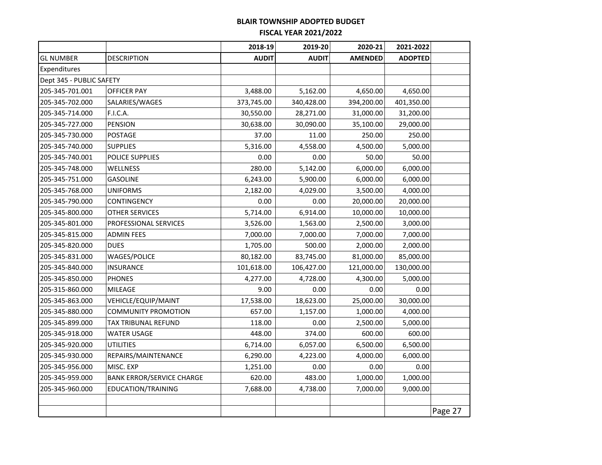|                          |                                  | 2018-19      | 2019-20      | 2020-21        | 2021-2022      |         |
|--------------------------|----------------------------------|--------------|--------------|----------------|----------------|---------|
| <b>GL NUMBER</b>         | <b>DESCRIPTION</b>               | <b>AUDIT</b> | <b>AUDIT</b> | <b>AMENDED</b> | <b>ADOPTED</b> |         |
| Expenditures             |                                  |              |              |                |                |         |
| Dept 345 - PUBLIC SAFETY |                                  |              |              |                |                |         |
| 205-345-701.001          | <b>OFFICER PAY</b>               | 3,488.00     | 5,162.00     | 4,650.00       | 4,650.00       |         |
| 205-345-702.000          | SALARIES/WAGES                   | 373,745.00   | 340,428.00   | 394,200.00     | 401,350.00     |         |
| 205-345-714.000          | F.I.C.A.                         | 30,550.00    | 28,271.00    | 31,000.00      | 31,200.00      |         |
| 205-345-727.000          | <b>PENSION</b>                   | 30,638.00    | 30,090.00    | 35,100.00      | 29,000.00      |         |
| 205-345-730.000          | <b>POSTAGE</b>                   | 37.00        | 11.00        | 250.00         | 250.00         |         |
| 205-345-740.000          | <b>SUPPLIES</b>                  | 5,316.00     | 4,558.00     | 4,500.00       | 5,000.00       |         |
| 205-345-740.001          | <b>POLICE SUPPLIES</b>           | 0.00         | 0.00         | 50.00          | 50.00          |         |
| 205-345-748.000          | WELLNESS                         | 280.00       | 5,142.00     | 6,000.00       | 6,000.00       |         |
| 205-345-751.000          | <b>GASOLINE</b>                  | 6,243.00     | 5,900.00     | 6,000.00       | 6,000.00       |         |
| 205-345-768.000          | <b>UNIFORMS</b>                  | 2,182.00     | 4,029.00     | 3,500.00       | 4,000.00       |         |
| 205-345-790.000          | CONTINGENCY                      | 0.00         | 0.00         | 20,000.00      | 20,000.00      |         |
| 205-345-800.000          | OTHER SERVICES                   | 5,714.00     | 6,914.00     | 10,000.00      | 10,000.00      |         |
| 205-345-801.000          | PROFESSIONAL SERVICES            | 3,526.00     | 1,563.00     | 2,500.00       | 3,000.00       |         |
| 205-345-815.000          | <b>ADMIN FEES</b>                | 7,000.00     | 7,000.00     | 7,000.00       | 7,000.00       |         |
| 205-345-820.000          | <b>DUES</b>                      | 1,705.00     | 500.00       | 2,000.00       | 2,000.00       |         |
| 205-345-831.000          | <b>WAGES/POLICE</b>              | 80,182.00    | 83,745.00    | 81,000.00      | 85,000.00      |         |
| 205-345-840.000          | <b>INSURANCE</b>                 | 101,618.00   | 106,427.00   | 121,000.00     | 130,000.00     |         |
| 205-345-850.000          | <b>PHONES</b>                    | 4,277.00     | 4,728.00     | 4,300.00       | 5,000.00       |         |
| 205-315-860.000          | MILEAGE                          | 9.00         | 0.00         | 0.00           | 0.00           |         |
| 205-345-863.000          | VEHICLE/EQUIP/MAINT              | 17,538.00    | 18,623.00    | 25,000.00      | 30,000.00      |         |
| 205-345-880.000          | <b>COMMUNITY PROMOTION</b>       | 657.00       | 1,157.00     | 1,000.00       | 4,000.00       |         |
| 205-345-899.000          | <b>TAX TRIBUNAL REFUND</b>       | 118.00       | 0.00         | 2,500.00       | 5,000.00       |         |
| 205-345-918.000          | <b>WATER USAGE</b>               | 448.00       | 374.00       | 600.00         | 600.00         |         |
| 205-345-920.000          | UTILITIES                        | 6,714.00     | 6,057.00     | 6,500.00       | 6,500.00       |         |
| 205-345-930.000          | REPAIRS/MAINTENANCE              | 6,290.00     | 4,223.00     | 4,000.00       | 6,000.00       |         |
| 205-345-956.000          | MISC. EXP                        | 1,251.00     | 0.00         | 0.00           | 0.00           |         |
| 205-345-959.000          | <b>BANK ERROR/SERVICE CHARGE</b> | 620.00       | 483.00       | 1,000.00       | 1,000.00       |         |
| 205-345-960.000          | EDUCATION/TRAINING               | 7,688.00     | 4,738.00     | 7,000.00       | 9,000.00       |         |
|                          |                                  |              |              |                |                |         |
|                          |                                  |              |              |                |                | Page 27 |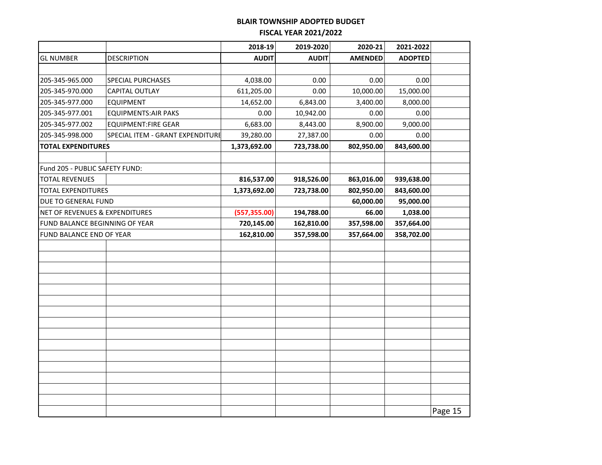|                                |                                  | 2018-19       | 2019-2020    | 2020-21        | 2021-2022      |         |
|--------------------------------|----------------------------------|---------------|--------------|----------------|----------------|---------|
| <b>GL NUMBER</b>               | <b>DESCRIPTION</b>               | <b>AUDIT</b>  | <b>AUDIT</b> | <b>AMENDED</b> | <b>ADOPTED</b> |         |
|                                |                                  |               |              |                |                |         |
| 205-345-965.000                | SPECIAL PURCHASES                | 4,038.00      | 0.00         | 0.00           | 0.00           |         |
| 205-345-970.000                | <b>CAPITAL OUTLAY</b>            | 611,205.00    | 0.00         | 10,000.00      | 15,000.00      |         |
| 205-345-977.000                | <b>EQUIPMENT</b>                 | 14,652.00     | 6,843.00     | 3,400.00       | 8,000.00       |         |
| 205-345-977.001                | <b>EQUIPMENTS:AIR PAKS</b>       | 0.00          | 10,942.00    | 0.00           | 0.00           |         |
| 205-345-977.002                | <b>EQUIPMENT:FIRE GEAR</b>       | 6,683.00      | 8,443.00     | 8,900.00       | 9,000.00       |         |
| 205-345-998.000                | SPECIAL ITEM - GRANT EXPENDITURE | 39,280.00     | 27,387.00    | 0.00           | 0.00           |         |
| <b>TOTAL EXPENDITURES</b>      |                                  | 1,373,692.00  | 723,738.00   | 802,950.00     | 843,600.00     |         |
|                                |                                  |               |              |                |                |         |
| Fund 205 - PUBLIC SAFETY FUND: |                                  |               |              |                |                |         |
| <b>TOTAL REVENUES</b>          |                                  | 816,537.00    | 918,526.00   | 863,016.00     | 939,638.00     |         |
| <b>TOTAL EXPENDITURES</b>      |                                  | 1,373,692.00  | 723,738.00   | 802,950.00     | 843,600.00     |         |
| DUE TO GENERAL FUND            |                                  |               |              | 60,000.00      | 95,000.00      |         |
| NET OF REVENUES & EXPENDITURES |                                  | (557, 355.00) | 194,788.00   | 66.00          | 1,038.00       |         |
|                                | FUND BALANCE BEGINNING OF YEAR   |               | 162,810.00   | 357,598.00     | 357,664.00     |         |
| FUND BALANCE END OF YEAR       |                                  | 162,810.00    | 357,598.00   | 357,664.00     | 358,702.00     |         |
|                                |                                  |               |              |                |                |         |
|                                |                                  |               |              |                |                |         |
|                                |                                  |               |              |                |                |         |
|                                |                                  |               |              |                |                |         |
|                                |                                  |               |              |                |                |         |
|                                |                                  |               |              |                |                |         |
|                                |                                  |               |              |                |                |         |
|                                |                                  |               |              |                |                |         |
|                                |                                  |               |              |                |                |         |
|                                |                                  |               |              |                |                |         |
|                                |                                  |               |              |                |                |         |
|                                |                                  |               |              |                |                |         |
|                                |                                  |               |              |                |                |         |
|                                |                                  |               |              |                |                |         |
|                                |                                  |               |              |                |                |         |
|                                |                                  |               |              |                |                | Page 15 |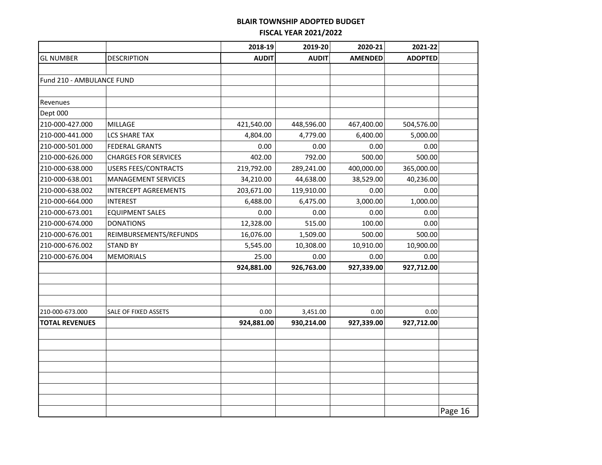|                           |                             | 2018-19      | 2019-20      | 2020-21        | 2021-22        |         |
|---------------------------|-----------------------------|--------------|--------------|----------------|----------------|---------|
| <b>GL NUMBER</b>          | <b>DESCRIPTION</b>          | <b>AUDIT</b> | <b>AUDIT</b> | <b>AMENDED</b> | <b>ADOPTED</b> |         |
|                           |                             |              |              |                |                |         |
| Fund 210 - AMBULANCE FUND |                             |              |              |                |                |         |
|                           |                             |              |              |                |                |         |
| Revenues                  |                             |              |              |                |                |         |
| Dept 000                  |                             |              |              |                |                |         |
| 210-000-427.000           | <b>MILLAGE</b>              | 421,540.00   | 448,596.00   | 467,400.00     | 504,576.00     |         |
| 210-000-441.000           | <b>LCS SHARE TAX</b>        | 4,804.00     | 4,779.00     | 6,400.00       | 5,000.00       |         |
| 210-000-501.000           | <b>FEDERAL GRANTS</b>       | 0.00         | 0.00         | 0.00           | 0.00           |         |
| 210-000-626.000           | <b>CHARGES FOR SERVICES</b> | 402.00       | 792.00       | 500.00         | 500.00         |         |
| 210-000-638.000           | <b>USERS FEES/CONTRACTS</b> | 219,792.00   | 289,241.00   | 400,000.00     | 365,000.00     |         |
| 210-000-638.001           | MANAGEMENT SERVICES         | 34,210.00    | 44,638.00    | 38,529.00      | 40,236.00      |         |
| 210-000-638.002           | <b>INTERCEPT AGREEMENTS</b> | 203,671.00   | 119,910.00   | 0.00           | 0.00           |         |
| 210-000-664.000           | <b>INTEREST</b>             | 6,488.00     | 6,475.00     | 3,000.00       | 1,000.00       |         |
| 210-000-673.001           | <b>EQUIPMENT SALES</b>      | 0.00         | 0.00         | 0.00           | 0.00           |         |
| 210-000-674.000           | <b>DONATIONS</b>            | 12,328.00    | 515.00       | 100.00         | 0.00           |         |
| 210-000-676.001           | REIMBURSEMENTS/REFUNDS      | 16,076.00    | 1,509.00     | 500.00         | 500.00         |         |
| 210-000-676.002           | <b>STAND BY</b>             | 5,545.00     | 10,308.00    | 10,910.00      | 10,900.00      |         |
| 210-000-676.004           | <b>MEMORIALS</b>            | 25.00        | 0.00         | 0.00           | 0.00           |         |
|                           |                             | 924,881.00   | 926,763.00   | 927,339.00     | 927,712.00     |         |
|                           |                             |              |              |                |                |         |
|                           |                             |              |              |                |                |         |
|                           |                             |              |              |                |                |         |
| 210-000-673.000           | SALE OF FIXED ASSETS        | 0.00         | 3,451.00     | 0.00           | 0.00           |         |
| <b>TOTAL REVENUES</b>     |                             | 924,881.00   | 930,214.00   | 927,339.00     | 927,712.00     |         |
|                           |                             |              |              |                |                |         |
|                           |                             |              |              |                |                |         |
|                           |                             |              |              |                |                |         |
|                           |                             |              |              |                |                |         |
|                           |                             |              |              |                |                |         |
|                           |                             |              |              |                |                |         |
|                           |                             |              |              |                |                |         |
|                           |                             |              |              |                |                | Page 16 |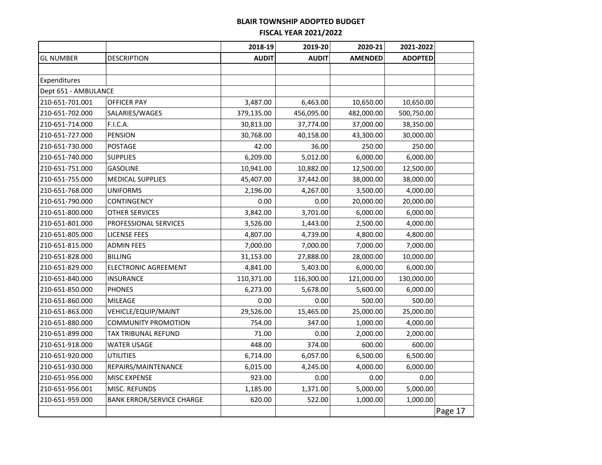| <b>DESCRIPTION</b><br><b>AUDIT</b><br><b>AUDIT</b><br><b>AMENDED</b><br><b>ADOPTED</b><br><b>GL NUMBER</b><br>Expenditures<br>Dept 651 - AMBULANCE<br>210-651-701.001<br><b>OFFICER PAY</b><br>3,487.00<br>6,463.00<br>10,650.00<br>10,650.00<br>210-651-702.000<br>SALARIES/WAGES<br>379,135.00<br>456,095.00<br>482,000.00<br>500,750.00<br>210-651-714.000<br>F.I.C.A.<br>30,813.00<br>37,774.00<br>37,000.00<br>38,350.00<br>210-651-727.000<br><b>PENSION</b><br>30,000.00<br>30,768.00<br>40,158.00<br>43,300.00<br>250.00<br>210-651-730.000<br>POSTAGE<br>42.00<br>36.00<br>250.00<br>6,209.00<br>5,012.00<br>210-651-740.000<br><b>SUPPLIES</b><br>6,000.00<br>6,000.00<br>210-651-751.000<br><b>GASOLINE</b><br>10,941.00<br>10,882.00<br>12,500.00<br>12,500.00<br>210-651-755.000<br>45,407.00<br><b>MEDICAL SUPPLIES</b><br>37,442.00<br>38,000.00<br>38,000.00<br>210-651-768.000<br><b>UNIFORMS</b><br>4,267.00<br>3,500.00<br>4,000.00<br>2,196.00<br>210-651-790.000<br>CONTINGENCY<br>0.00<br>0.00<br>20,000.00<br>20,000.00<br>210-651-800.000<br><b>OTHER SERVICES</b><br>3,842.00<br>3,701.00<br>6,000.00<br>6,000.00<br>210-651-801.000<br>PROFESSIONAL SERVICES<br>3,526.00<br>1,443.00<br>2,500.00<br>4,000.00<br>210-651-805.000<br><b>LICENSE FEES</b><br>4,807.00<br>4,739.00<br>4,800.00<br>4,800.00<br>210-651-815.000<br><b>ADMIN FEES</b><br>7,000.00<br>7,000.00<br>7,000.00<br>7,000.00<br>210-651-828.000<br><b>BILLING</b><br>31,153.00<br>27,888.00<br>28,000.00<br>10,000.00<br>4,841.00<br>5,403.00<br>6,000.00<br>6,000.00<br>210-651-829.000<br><b>ELECTRONIC AGREEMENT</b><br>210-651-840.000<br><b>INSURANCE</b><br>110,371.00<br>116,300.00<br>121,000.00<br>130,000.00<br>210-651-850.000<br><b>PHONES</b><br>6,273.00<br>5,678.00<br>5,600.00<br>6,000.00<br>210-651-860.000<br><b>MILEAGE</b><br>0.00<br>0.00<br>500.00<br>500.00<br>210-651-863.000<br>VEHICLE/EQUIP/MAINT<br>29,526.00<br>15,465.00<br>25,000.00<br>25,000.00<br>754.00<br>347.00<br>1,000.00<br>4,000.00<br>210-651-880.000<br><b>COMMUNITY PROMOTION</b><br>71.00<br>TAX TRIBUNAL REFUND<br>0.00<br>2,000.00<br>2,000.00<br>210-651-899.000<br>374.00<br>210-651-918.000<br><b>WATER USAGE</b><br>448.00<br>600.00<br>600.00<br>210-651-920.000<br><b>UTILITIES</b><br>6,714.00<br>6,057.00<br>6,500.00<br>6,500.00<br>210-651-930.000<br>6,015.00<br>4,245.00<br>4,000.00<br>6,000.00<br>REPAIRS/MAINTENANCE<br>210-651-956.000<br>MISC EXPENSE<br>923.00<br>0.00<br>0.00<br>0.00<br>5,000.00<br>1,185.00<br>1,371.00<br>5,000.00<br>210-651-956.001<br>MISC. REFUNDS<br>1,000.00<br>210-651-959.000<br><b>BANK ERROR/SERVICE CHARGE</b><br>620.00<br>522.00<br>1,000.00<br>Page 17 |  | 2018-19 | 2019-20 | 2020-21 | 2021-2022 |  |
|--------------------------------------------------------------------------------------------------------------------------------------------------------------------------------------------------------------------------------------------------------------------------------------------------------------------------------------------------------------------------------------------------------------------------------------------------------------------------------------------------------------------------------------------------------------------------------------------------------------------------------------------------------------------------------------------------------------------------------------------------------------------------------------------------------------------------------------------------------------------------------------------------------------------------------------------------------------------------------------------------------------------------------------------------------------------------------------------------------------------------------------------------------------------------------------------------------------------------------------------------------------------------------------------------------------------------------------------------------------------------------------------------------------------------------------------------------------------------------------------------------------------------------------------------------------------------------------------------------------------------------------------------------------------------------------------------------------------------------------------------------------------------------------------------------------------------------------------------------------------------------------------------------------------------------------------------------------------------------------------------------------------------------------------------------------------------------------------------------------------------------------------------------------------------------------------------------------------------------------------------------------------------------------------------------------------------------------------------------------------------------------------------------------------------------------------------------------------------------------------------------------------------------------------------------------------------------------------------------------------------------------------------------------------------------------------------------|--|---------|---------|---------|-----------|--|
|                                                                                                                                                                                                                                                                                                                                                                                                                                                                                                                                                                                                                                                                                                                                                                                                                                                                                                                                                                                                                                                                                                                                                                                                                                                                                                                                                                                                                                                                                                                                                                                                                                                                                                                                                                                                                                                                                                                                                                                                                                                                                                                                                                                                                                                                                                                                                                                                                                                                                                                                                                                                                                                                                                        |  |         |         |         |           |  |
|                                                                                                                                                                                                                                                                                                                                                                                                                                                                                                                                                                                                                                                                                                                                                                                                                                                                                                                                                                                                                                                                                                                                                                                                                                                                                                                                                                                                                                                                                                                                                                                                                                                                                                                                                                                                                                                                                                                                                                                                                                                                                                                                                                                                                                                                                                                                                                                                                                                                                                                                                                                                                                                                                                        |  |         |         |         |           |  |
|                                                                                                                                                                                                                                                                                                                                                                                                                                                                                                                                                                                                                                                                                                                                                                                                                                                                                                                                                                                                                                                                                                                                                                                                                                                                                                                                                                                                                                                                                                                                                                                                                                                                                                                                                                                                                                                                                                                                                                                                                                                                                                                                                                                                                                                                                                                                                                                                                                                                                                                                                                                                                                                                                                        |  |         |         |         |           |  |
|                                                                                                                                                                                                                                                                                                                                                                                                                                                                                                                                                                                                                                                                                                                                                                                                                                                                                                                                                                                                                                                                                                                                                                                                                                                                                                                                                                                                                                                                                                                                                                                                                                                                                                                                                                                                                                                                                                                                                                                                                                                                                                                                                                                                                                                                                                                                                                                                                                                                                                                                                                                                                                                                                                        |  |         |         |         |           |  |
|                                                                                                                                                                                                                                                                                                                                                                                                                                                                                                                                                                                                                                                                                                                                                                                                                                                                                                                                                                                                                                                                                                                                                                                                                                                                                                                                                                                                                                                                                                                                                                                                                                                                                                                                                                                                                                                                                                                                                                                                                                                                                                                                                                                                                                                                                                                                                                                                                                                                                                                                                                                                                                                                                                        |  |         |         |         |           |  |
|                                                                                                                                                                                                                                                                                                                                                                                                                                                                                                                                                                                                                                                                                                                                                                                                                                                                                                                                                                                                                                                                                                                                                                                                                                                                                                                                                                                                                                                                                                                                                                                                                                                                                                                                                                                                                                                                                                                                                                                                                                                                                                                                                                                                                                                                                                                                                                                                                                                                                                                                                                                                                                                                                                        |  |         |         |         |           |  |
|                                                                                                                                                                                                                                                                                                                                                                                                                                                                                                                                                                                                                                                                                                                                                                                                                                                                                                                                                                                                                                                                                                                                                                                                                                                                                                                                                                                                                                                                                                                                                                                                                                                                                                                                                                                                                                                                                                                                                                                                                                                                                                                                                                                                                                                                                                                                                                                                                                                                                                                                                                                                                                                                                                        |  |         |         |         |           |  |
|                                                                                                                                                                                                                                                                                                                                                                                                                                                                                                                                                                                                                                                                                                                                                                                                                                                                                                                                                                                                                                                                                                                                                                                                                                                                                                                                                                                                                                                                                                                                                                                                                                                                                                                                                                                                                                                                                                                                                                                                                                                                                                                                                                                                                                                                                                                                                                                                                                                                                                                                                                                                                                                                                                        |  |         |         |         |           |  |
|                                                                                                                                                                                                                                                                                                                                                                                                                                                                                                                                                                                                                                                                                                                                                                                                                                                                                                                                                                                                                                                                                                                                                                                                                                                                                                                                                                                                                                                                                                                                                                                                                                                                                                                                                                                                                                                                                                                                                                                                                                                                                                                                                                                                                                                                                                                                                                                                                                                                                                                                                                                                                                                                                                        |  |         |         |         |           |  |
|                                                                                                                                                                                                                                                                                                                                                                                                                                                                                                                                                                                                                                                                                                                                                                                                                                                                                                                                                                                                                                                                                                                                                                                                                                                                                                                                                                                                                                                                                                                                                                                                                                                                                                                                                                                                                                                                                                                                                                                                                                                                                                                                                                                                                                                                                                                                                                                                                                                                                                                                                                                                                                                                                                        |  |         |         |         |           |  |
|                                                                                                                                                                                                                                                                                                                                                                                                                                                                                                                                                                                                                                                                                                                                                                                                                                                                                                                                                                                                                                                                                                                                                                                                                                                                                                                                                                                                                                                                                                                                                                                                                                                                                                                                                                                                                                                                                                                                                                                                                                                                                                                                                                                                                                                                                                                                                                                                                                                                                                                                                                                                                                                                                                        |  |         |         |         |           |  |
|                                                                                                                                                                                                                                                                                                                                                                                                                                                                                                                                                                                                                                                                                                                                                                                                                                                                                                                                                                                                                                                                                                                                                                                                                                                                                                                                                                                                                                                                                                                                                                                                                                                                                                                                                                                                                                                                                                                                                                                                                                                                                                                                                                                                                                                                                                                                                                                                                                                                                                                                                                                                                                                                                                        |  |         |         |         |           |  |
|                                                                                                                                                                                                                                                                                                                                                                                                                                                                                                                                                                                                                                                                                                                                                                                                                                                                                                                                                                                                                                                                                                                                                                                                                                                                                                                                                                                                                                                                                                                                                                                                                                                                                                                                                                                                                                                                                                                                                                                                                                                                                                                                                                                                                                                                                                                                                                                                                                                                                                                                                                                                                                                                                                        |  |         |         |         |           |  |
|                                                                                                                                                                                                                                                                                                                                                                                                                                                                                                                                                                                                                                                                                                                                                                                                                                                                                                                                                                                                                                                                                                                                                                                                                                                                                                                                                                                                                                                                                                                                                                                                                                                                                                                                                                                                                                                                                                                                                                                                                                                                                                                                                                                                                                                                                                                                                                                                                                                                                                                                                                                                                                                                                                        |  |         |         |         |           |  |
|                                                                                                                                                                                                                                                                                                                                                                                                                                                                                                                                                                                                                                                                                                                                                                                                                                                                                                                                                                                                                                                                                                                                                                                                                                                                                                                                                                                                                                                                                                                                                                                                                                                                                                                                                                                                                                                                                                                                                                                                                                                                                                                                                                                                                                                                                                                                                                                                                                                                                                                                                                                                                                                                                                        |  |         |         |         |           |  |
|                                                                                                                                                                                                                                                                                                                                                                                                                                                                                                                                                                                                                                                                                                                                                                                                                                                                                                                                                                                                                                                                                                                                                                                                                                                                                                                                                                                                                                                                                                                                                                                                                                                                                                                                                                                                                                                                                                                                                                                                                                                                                                                                                                                                                                                                                                                                                                                                                                                                                                                                                                                                                                                                                                        |  |         |         |         |           |  |
|                                                                                                                                                                                                                                                                                                                                                                                                                                                                                                                                                                                                                                                                                                                                                                                                                                                                                                                                                                                                                                                                                                                                                                                                                                                                                                                                                                                                                                                                                                                                                                                                                                                                                                                                                                                                                                                                                                                                                                                                                                                                                                                                                                                                                                                                                                                                                                                                                                                                                                                                                                                                                                                                                                        |  |         |         |         |           |  |
|                                                                                                                                                                                                                                                                                                                                                                                                                                                                                                                                                                                                                                                                                                                                                                                                                                                                                                                                                                                                                                                                                                                                                                                                                                                                                                                                                                                                                                                                                                                                                                                                                                                                                                                                                                                                                                                                                                                                                                                                                                                                                                                                                                                                                                                                                                                                                                                                                                                                                                                                                                                                                                                                                                        |  |         |         |         |           |  |
|                                                                                                                                                                                                                                                                                                                                                                                                                                                                                                                                                                                                                                                                                                                                                                                                                                                                                                                                                                                                                                                                                                                                                                                                                                                                                                                                                                                                                                                                                                                                                                                                                                                                                                                                                                                                                                                                                                                                                                                                                                                                                                                                                                                                                                                                                                                                                                                                                                                                                                                                                                                                                                                                                                        |  |         |         |         |           |  |
|                                                                                                                                                                                                                                                                                                                                                                                                                                                                                                                                                                                                                                                                                                                                                                                                                                                                                                                                                                                                                                                                                                                                                                                                                                                                                                                                                                                                                                                                                                                                                                                                                                                                                                                                                                                                                                                                                                                                                                                                                                                                                                                                                                                                                                                                                                                                                                                                                                                                                                                                                                                                                                                                                                        |  |         |         |         |           |  |
|                                                                                                                                                                                                                                                                                                                                                                                                                                                                                                                                                                                                                                                                                                                                                                                                                                                                                                                                                                                                                                                                                                                                                                                                                                                                                                                                                                                                                                                                                                                                                                                                                                                                                                                                                                                                                                                                                                                                                                                                                                                                                                                                                                                                                                                                                                                                                                                                                                                                                                                                                                                                                                                                                                        |  |         |         |         |           |  |
|                                                                                                                                                                                                                                                                                                                                                                                                                                                                                                                                                                                                                                                                                                                                                                                                                                                                                                                                                                                                                                                                                                                                                                                                                                                                                                                                                                                                                                                                                                                                                                                                                                                                                                                                                                                                                                                                                                                                                                                                                                                                                                                                                                                                                                                                                                                                                                                                                                                                                                                                                                                                                                                                                                        |  |         |         |         |           |  |
|                                                                                                                                                                                                                                                                                                                                                                                                                                                                                                                                                                                                                                                                                                                                                                                                                                                                                                                                                                                                                                                                                                                                                                                                                                                                                                                                                                                                                                                                                                                                                                                                                                                                                                                                                                                                                                                                                                                                                                                                                                                                                                                                                                                                                                                                                                                                                                                                                                                                                                                                                                                                                                                                                                        |  |         |         |         |           |  |
|                                                                                                                                                                                                                                                                                                                                                                                                                                                                                                                                                                                                                                                                                                                                                                                                                                                                                                                                                                                                                                                                                                                                                                                                                                                                                                                                                                                                                                                                                                                                                                                                                                                                                                                                                                                                                                                                                                                                                                                                                                                                                                                                                                                                                                                                                                                                                                                                                                                                                                                                                                                                                                                                                                        |  |         |         |         |           |  |
|                                                                                                                                                                                                                                                                                                                                                                                                                                                                                                                                                                                                                                                                                                                                                                                                                                                                                                                                                                                                                                                                                                                                                                                                                                                                                                                                                                                                                                                                                                                                                                                                                                                                                                                                                                                                                                                                                                                                                                                                                                                                                                                                                                                                                                                                                                                                                                                                                                                                                                                                                                                                                                                                                                        |  |         |         |         |           |  |
|                                                                                                                                                                                                                                                                                                                                                                                                                                                                                                                                                                                                                                                                                                                                                                                                                                                                                                                                                                                                                                                                                                                                                                                                                                                                                                                                                                                                                                                                                                                                                                                                                                                                                                                                                                                                                                                                                                                                                                                                                                                                                                                                                                                                                                                                                                                                                                                                                                                                                                                                                                                                                                                                                                        |  |         |         |         |           |  |
|                                                                                                                                                                                                                                                                                                                                                                                                                                                                                                                                                                                                                                                                                                                                                                                                                                                                                                                                                                                                                                                                                                                                                                                                                                                                                                                                                                                                                                                                                                                                                                                                                                                                                                                                                                                                                                                                                                                                                                                                                                                                                                                                                                                                                                                                                                                                                                                                                                                                                                                                                                                                                                                                                                        |  |         |         |         |           |  |
|                                                                                                                                                                                                                                                                                                                                                                                                                                                                                                                                                                                                                                                                                                                                                                                                                                                                                                                                                                                                                                                                                                                                                                                                                                                                                                                                                                                                                                                                                                                                                                                                                                                                                                                                                                                                                                                                                                                                                                                                                                                                                                                                                                                                                                                                                                                                                                                                                                                                                                                                                                                                                                                                                                        |  |         |         |         |           |  |
|                                                                                                                                                                                                                                                                                                                                                                                                                                                                                                                                                                                                                                                                                                                                                                                                                                                                                                                                                                                                                                                                                                                                                                                                                                                                                                                                                                                                                                                                                                                                                                                                                                                                                                                                                                                                                                                                                                                                                                                                                                                                                                                                                                                                                                                                                                                                                                                                                                                                                                                                                                                                                                                                                                        |  |         |         |         |           |  |
|                                                                                                                                                                                                                                                                                                                                                                                                                                                                                                                                                                                                                                                                                                                                                                                                                                                                                                                                                                                                                                                                                                                                                                                                                                                                                                                                                                                                                                                                                                                                                                                                                                                                                                                                                                                                                                                                                                                                                                                                                                                                                                                                                                                                                                                                                                                                                                                                                                                                                                                                                                                                                                                                                                        |  |         |         |         |           |  |
|                                                                                                                                                                                                                                                                                                                                                                                                                                                                                                                                                                                                                                                                                                                                                                                                                                                                                                                                                                                                                                                                                                                                                                                                                                                                                                                                                                                                                                                                                                                                                                                                                                                                                                                                                                                                                                                                                                                                                                                                                                                                                                                                                                                                                                                                                                                                                                                                                                                                                                                                                                                                                                                                                                        |  |         |         |         |           |  |
|                                                                                                                                                                                                                                                                                                                                                                                                                                                                                                                                                                                                                                                                                                                                                                                                                                                                                                                                                                                                                                                                                                                                                                                                                                                                                                                                                                                                                                                                                                                                                                                                                                                                                                                                                                                                                                                                                                                                                                                                                                                                                                                                                                                                                                                                                                                                                                                                                                                                                                                                                                                                                                                                                                        |  |         |         |         |           |  |
|                                                                                                                                                                                                                                                                                                                                                                                                                                                                                                                                                                                                                                                                                                                                                                                                                                                                                                                                                                                                                                                                                                                                                                                                                                                                                                                                                                                                                                                                                                                                                                                                                                                                                                                                                                                                                                                                                                                                                                                                                                                                                                                                                                                                                                                                                                                                                                                                                                                                                                                                                                                                                                                                                                        |  |         |         |         |           |  |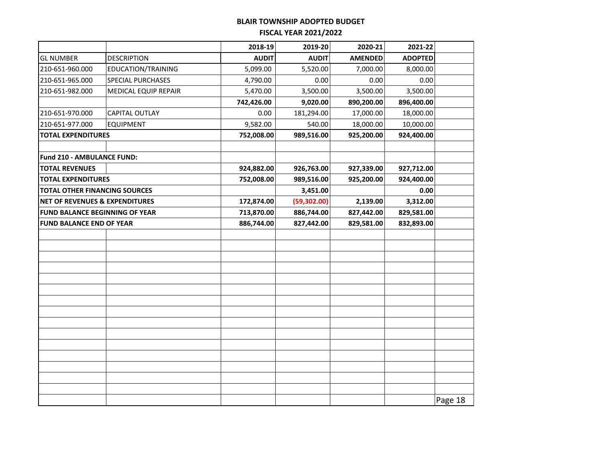|                                 |                                                     | 2018-19      | 2019-20      | 2020-21        | 2021-22        |         |
|---------------------------------|-----------------------------------------------------|--------------|--------------|----------------|----------------|---------|
| <b>GL NUMBER</b>                | <b>DESCRIPTION</b>                                  | <b>AUDIT</b> | <b>AUDIT</b> | <b>AMENDED</b> | <b>ADOPTED</b> |         |
| 210-651-960.000                 | EDUCATION/TRAINING                                  | 5,099.00     | 5,520.00     | 7,000.00       | 8,000.00       |         |
| 210-651-965.000                 | <b>SPECIAL PURCHASES</b>                            | 4,790.00     | 0.00         | 0.00           | 0.00           |         |
| 210-651-982.000                 | MEDICAL EQUIP REPAIR                                | 5,470.00     | 3,500.00     | 3,500.00       | 3,500.00       |         |
|                                 |                                                     | 742,426.00   | 9,020.00     | 890,200.00     | 896,400.00     |         |
| 210-651-970.000                 | CAPITAL OUTLAY                                      | 0.00         | 181,294.00   | 17,000.00      | 18,000.00      |         |
| 210-651-977.000                 | <b>EQUIPMENT</b>                                    | 9,582.00     | 540.00       | 18,000.00      | 10,000.00      |         |
| <b>TOTAL EXPENDITURES</b>       |                                                     | 752,008.00   | 989,516.00   | 925,200.00     | 924,400.00     |         |
|                                 |                                                     |              |              |                |                |         |
| Fund 210 - AMBULANCE FUND:      |                                                     |              |              |                |                |         |
| <b>TOTAL REVENUES</b>           |                                                     | 924,882.00   | 926,763.00   | 927,339.00     | 927,712.00     |         |
| <b>TOTAL EXPENDITURES</b>       |                                                     | 752,008.00   | 989,516.00   | 925,200.00     | 924,400.00     |         |
|                                 | <b>TOTAL OTHER FINANCING SOURCES</b>                |              | 3,451.00     |                | 0.00           |         |
|                                 | <b>NET OF REVENUES &amp; EXPENDITURES</b>           |              | (59, 302.00) | 2,139.00       | 3,312.00       |         |
|                                 | 713,870.00<br><b>FUND BALANCE BEGINNING OF YEAR</b> |              | 886,744.00   | 827,442.00     | 829,581.00     |         |
| <b>FUND BALANCE END OF YEAR</b> |                                                     | 886,744.00   | 827,442.00   | 829,581.00     | 832,893.00     |         |
|                                 |                                                     |              |              |                |                |         |
|                                 |                                                     |              |              |                |                |         |
|                                 |                                                     |              |              |                |                |         |
|                                 |                                                     |              |              |                |                |         |
|                                 |                                                     |              |              |                |                |         |
|                                 |                                                     |              |              |                |                |         |
|                                 |                                                     |              |              |                |                |         |
|                                 |                                                     |              |              |                |                |         |
|                                 |                                                     |              |              |                |                |         |
|                                 |                                                     |              |              |                |                |         |
|                                 |                                                     |              |              |                |                |         |
|                                 |                                                     |              |              |                |                |         |
|                                 |                                                     |              |              |                |                |         |
|                                 |                                                     |              |              |                |                |         |
|                                 |                                                     |              |              |                |                |         |
|                                 |                                                     |              |              |                |                | Page 18 |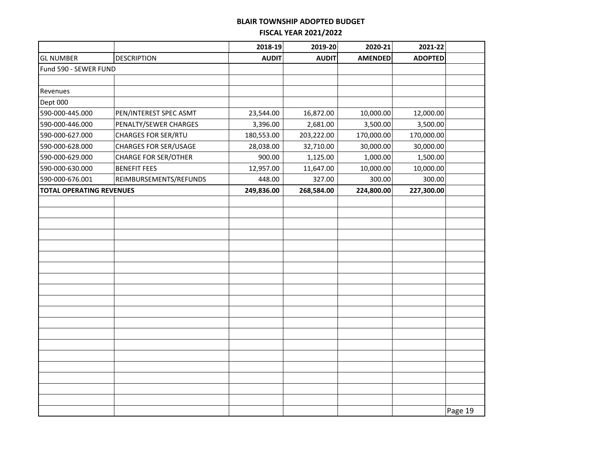|                                 |                              | 2018-19      | 2019-20      | 2020-21        | 2021-22        |         |
|---------------------------------|------------------------------|--------------|--------------|----------------|----------------|---------|
| <b>GL NUMBER</b>                | <b>DESCRIPTION</b>           | <b>AUDIT</b> | <b>AUDIT</b> | <b>AMENDED</b> | <b>ADOPTED</b> |         |
| Fund 590 - SEWER FUND           |                              |              |              |                |                |         |
|                                 |                              |              |              |                |                |         |
| Revenues                        |                              |              |              |                |                |         |
| Dept 000                        |                              |              |              |                |                |         |
| 590-000-445.000                 | PEN/INTEREST SPEC ASMT       | 23,544.00    | 16,872.00    | 10,000.00      | 12,000.00      |         |
| 590-000-446.000                 | PENALTY/SEWER CHARGES        | 3,396.00     | 2,681.00     | 3,500.00       | 3,500.00       |         |
| 590-000-627.000                 | <b>CHARGES FOR SER/RTU</b>   | 180,553.00   | 203,222.00   | 170,000.00     | 170,000.00     |         |
| 590-000-628.000                 | <b>CHARGES FOR SER/USAGE</b> | 28,038.00    | 32,710.00    | 30,000.00      | 30,000.00      |         |
| 590-000-629.000                 | <b>CHARGE FOR SER/OTHER</b>  | 900.00       | 1,125.00     | 1,000.00       | 1,500.00       |         |
| 590-000-630.000                 | <b>BENEFIT FEES</b>          | 12,957.00    | 11,647.00    | 10,000.00      | 10,000.00      |         |
| 590-000-676.001                 | REIMBURSEMENTS/REFUNDS       | 448.00       | 327.00       | 300.00         | 300.00         |         |
| <b>TOTAL OPERATING REVENUES</b> |                              | 249,836.00   | 268,584.00   | 224,800.00     | 227,300.00     |         |
|                                 |                              |              |              |                |                |         |
|                                 |                              |              |              |                |                |         |
|                                 |                              |              |              |                |                |         |
|                                 |                              |              |              |                |                |         |
|                                 |                              |              |              |                |                |         |
|                                 |                              |              |              |                |                |         |
|                                 |                              |              |              |                |                |         |
|                                 |                              |              |              |                |                |         |
|                                 |                              |              |              |                |                |         |
|                                 |                              |              |              |                |                |         |
|                                 |                              |              |              |                |                |         |
|                                 |                              |              |              |                |                |         |
|                                 |                              |              |              |                |                |         |
|                                 |                              |              |              |                |                |         |
|                                 |                              |              |              |                |                |         |
|                                 |                              |              |              |                |                |         |
|                                 |                              |              |              |                |                |         |
|                                 |                              |              |              |                |                |         |
|                                 |                              |              |              |                |                |         |
|                                 |                              |              |              |                |                | Page 19 |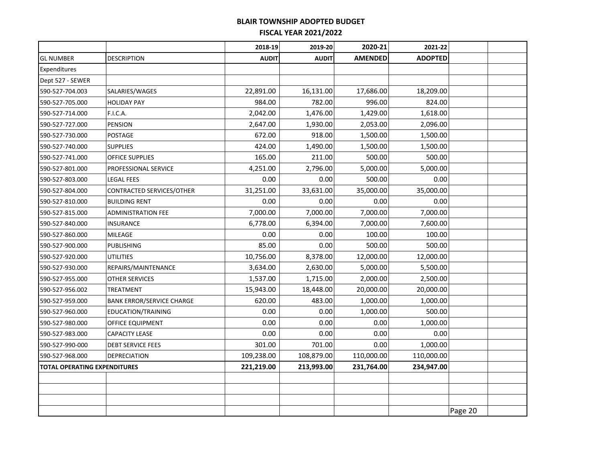|                              |                                  | 2018-19      | 2019-20      | 2020-21        | 2021-22        |         |  |
|------------------------------|----------------------------------|--------------|--------------|----------------|----------------|---------|--|
| <b>GL NUMBER</b>             | <b>DESCRIPTION</b>               | <b>AUDIT</b> | <b>AUDIT</b> | <b>AMENDED</b> | <b>ADOPTED</b> |         |  |
| Expenditures                 |                                  |              |              |                |                |         |  |
| Dept 527 - SEWER             |                                  |              |              |                |                |         |  |
| 590-527-704.003              | SALARIES/WAGES                   | 22,891.00    | 16,131.00    | 17,686.00      | 18,209.00      |         |  |
| 590-527-705.000              | <b>HOLIDAY PAY</b>               | 984.00       | 782.00       | 996.00         | 824.00         |         |  |
| 590-527-714.000              | F.I.C.A.                         | 2,042.00     | 1,476.00     | 1,429.00       | 1,618.00       |         |  |
| 590-527-727.000              | <b>PENSION</b>                   | 2,647.00     | 1,930.00     | 2,053.00       | 2,096.00       |         |  |
| 590-527-730.000              | POSTAGE                          | 672.00       | 918.00       | 1,500.00       | 1,500.00       |         |  |
| 590-527-740.000              | <b>SUPPLIES</b>                  | 424.00       | 1,490.00     | 1,500.00       | 1,500.00       |         |  |
| 590-527-741.000              | OFFICE SUPPLIES                  | 165.00       | 211.00       | 500.00         | 500.00         |         |  |
| 590-527-801.000              | PROFESSIONAL SERVICE             | 4,251.00     | 2,796.00     | 5,000.00       | 5,000.00       |         |  |
| 590-527-803.000              | <b>LEGAL FEES</b>                | 0.00         | 0.00         | 500.00         | 0.00           |         |  |
| 590-527-804.000              | CONTRACTED SERVICES/OTHER        | 31,251.00    | 33,631.00    | 35,000.00      | 35,000.00      |         |  |
| 590-527-810.000              | <b>BUILDING RENT</b>             | 0.00         | 0.00         | 0.00           | 0.00           |         |  |
| 590-527-815.000              | <b>ADMINISTRATION FEE</b>        | 7,000.00     | 7,000.00     | 7,000.00       | 7,000.00       |         |  |
| 590-527-840.000              | <b>INSURANCE</b>                 | 6,778.00     | 6,394.00     | 7,000.00       | 7,600.00       |         |  |
| 590-527-860.000              | MILEAGE                          | 0.00         | 0.00         | 100.00         | 100.00         |         |  |
| 590-527-900.000              | <b>PUBLISHING</b>                | 85.00        | 0.00         | 500.00         | 500.00         |         |  |
| 590-527-920.000              | <b>UTILITIES</b>                 | 10,756.00    | 8,378.00     | 12,000.00      | 12,000.00      |         |  |
| 590-527-930.000              | REPAIRS/MAINTENANCE              | 3,634.00     | 2,630.00     | 5,000.00       | 5,500.00       |         |  |
| 590-527-955.000              | OTHER SERVICES                   | 1,537.00     | 1,715.00     | 2,000.00       | 2,500.00       |         |  |
| 590-527-956.002              | TREATMENT                        | 15,943.00    | 18,448.00    | 20,000.00      | 20,000.00      |         |  |
| 590-527-959.000              | <b>BANK ERROR/SERVICE CHARGE</b> | 620.00       | 483.00       | 1,000.00       | 1,000.00       |         |  |
| 590-527-960.000              | EDUCATION/TRAINING               | 0.00         | 0.00         | 1,000.00       | 500.00         |         |  |
| 590-527-980.000              | OFFICE EQUIPMENT                 | 0.00         | 0.00         | 0.00           | 1,000.00       |         |  |
| 590-527-983.000              | <b>CAPACITY LEASE</b>            | 0.00         | 0.00         | 0.00           | 0.00           |         |  |
| 590-527-990-000              | <b>DEBT SERVICE FEES</b>         | 301.00       | 701.00       | 0.00           | 1,000.00       |         |  |
| 590-527-968.000              | <b>DEPRECIATION</b>              | 109,238.00   | 108,879.00   | 110,000.00     | 110,000.00     |         |  |
| TOTAL OPERATING EXPENDITURES |                                  | 221,219.00   | 213,993.00   | 231,764.00     | 234,947.00     |         |  |
|                              |                                  |              |              |                |                |         |  |
|                              |                                  |              |              |                |                |         |  |
|                              |                                  |              |              |                |                |         |  |
|                              |                                  |              |              |                |                | Page 20 |  |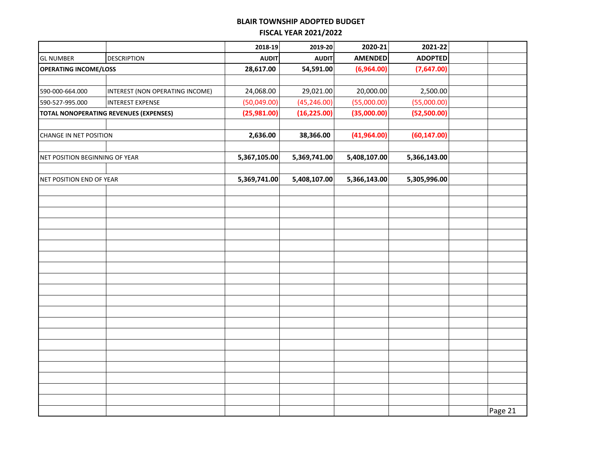|                                |                                               | 2018-19      | 2019-20      | 2020-21        | 2021-22        |         |
|--------------------------------|-----------------------------------------------|--------------|--------------|----------------|----------------|---------|
| <b>GL NUMBER</b>               | <b>DESCRIPTION</b>                            | <b>AUDIT</b> | <b>AUDIT</b> | <b>AMENDED</b> | <b>ADOPTED</b> |         |
| <b>OPERATING INCOME/LOSS</b>   |                                               | 28,617.00    | 54,591.00    | (6,964.00)     | (7,647.00)     |         |
|                                |                                               |              |              |                |                |         |
| 590-000-664.000                | INTEREST (NON OPERATING INCOME)               | 24,068.00    | 29,021.00    | 20,000.00      | 2,500.00       |         |
| 590-527-995.000                | INTEREST EXPENSE                              | (50,049.00)  | (45, 246.00) | (55,000.00)    | (55,000.00)    |         |
|                                | <b>TOTAL NONOPERATING REVENUES (EXPENSES)</b> | (25,981.00)  | (16, 225.00) | (35,000.00)    | (52,500.00)    |         |
|                                |                                               |              |              |                |                |         |
| <b>CHANGE IN NET POSITION</b>  |                                               | 2,636.00     | 38,366.00    | (41,964.00)    | (60, 147.00)   |         |
|                                |                                               |              |              |                |                |         |
| NET POSITION BEGINNING OF YEAR |                                               | 5,367,105.00 | 5,369,741.00 | 5,408,107.00   | 5,366,143.00   |         |
|                                |                                               |              |              |                |                |         |
| NET POSITION END OF YEAR       |                                               | 5,369,741.00 | 5,408,107.00 | 5,366,143.00   | 5,305,996.00   |         |
|                                |                                               |              |              |                |                |         |
|                                |                                               |              |              |                |                |         |
|                                |                                               |              |              |                |                |         |
|                                |                                               |              |              |                |                |         |
|                                |                                               |              |              |                |                |         |
|                                |                                               |              |              |                |                |         |
|                                |                                               |              |              |                |                |         |
|                                |                                               |              |              |                |                |         |
|                                |                                               |              |              |                |                |         |
|                                |                                               |              |              |                |                |         |
|                                |                                               |              |              |                |                |         |
|                                |                                               |              |              |                |                |         |
|                                |                                               |              |              |                |                |         |
|                                |                                               |              |              |                |                |         |
|                                |                                               |              |              |                |                |         |
|                                |                                               |              |              |                |                |         |
|                                |                                               |              |              |                |                |         |
|                                |                                               |              |              |                |                |         |
|                                |                                               |              |              |                |                |         |
|                                |                                               |              |              |                |                |         |
|                                |                                               |              |              |                |                | Page 21 |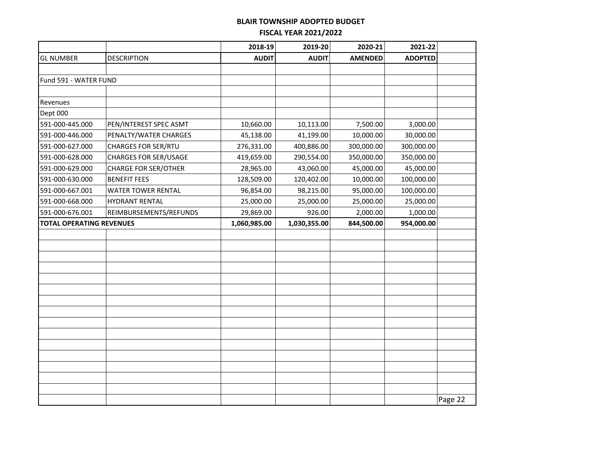|                                 |                                            | 2018-19      | 2019-20      | 2020-21        | 2021-22        |         |
|---------------------------------|--------------------------------------------|--------------|--------------|----------------|----------------|---------|
| <b>GL NUMBER</b>                | <b>DESCRIPTION</b>                         | <b>AUDIT</b> | <b>AUDIT</b> | <b>AMENDED</b> | <b>ADOPTED</b> |         |
|                                 |                                            |              |              |                |                |         |
| Fund 591 - WATER FUND           |                                            |              |              |                |                |         |
|                                 |                                            |              |              |                |                |         |
| Revenues                        |                                            |              |              |                |                |         |
| Dept 000                        |                                            |              |              |                |                |         |
| 591-000-445.000                 | PEN/INTEREST SPEC ASMT                     | 10,660.00    | 10,113.00    | 7,500.00       | 3,000.00       |         |
| 591-000-446.000                 | PENALTY/WATER CHARGES                      | 45,138.00    | 41,199.00    | 10,000.00      | 30,000.00      |         |
| 591-000-627.000                 | <b>CHARGES FOR SER/RTU</b>                 | 276,331.00   | 400,886.00   | 300,000.00     | 300,000.00     |         |
| 591-000-628.000                 | <b>CHARGES FOR SER/USAGE</b>               | 419,659.00   | 290,554.00   | 350,000.00     | 350,000.00     |         |
| 591-000-629.000                 | <b>CHARGE FOR SER/OTHER</b>                | 28,965.00    | 43,060.00    | 45,000.00      | 45,000.00      |         |
| 591-000-630.000                 | <b>BENEFIT FEES</b>                        | 128,509.00   | 120,402.00   | 10,000.00      | 100,000.00     |         |
| 591-000-667.001                 | <b>WATER TOWER RENTAL</b>                  | 96,854.00    | 98,215.00    | 95,000.00      | 100,000.00     |         |
| 591-000-668.000                 | <b>HYDRANT RENTAL</b>                      | 25,000.00    | 25,000.00    | 25,000.00      | 25,000.00      |         |
| 591-000-676.001                 | REIMBURSEMENTS/REFUNDS                     | 29,869.00    | 926.00       | 2,000.00       | 1,000.00       |         |
| <b>TOTAL OPERATING REVENUES</b> | 1,030,355.00<br>844,500.00<br>1,060,985.00 |              |              | 954,000.00     |                |         |
|                                 |                                            |              |              |                |                |         |
|                                 |                                            |              |              |                |                |         |
|                                 |                                            |              |              |                |                |         |
|                                 |                                            |              |              |                |                |         |
|                                 |                                            |              |              |                |                |         |
|                                 |                                            |              |              |                |                |         |
|                                 |                                            |              |              |                |                |         |
|                                 |                                            |              |              |                |                |         |
|                                 |                                            |              |              |                |                |         |
|                                 |                                            |              |              |                |                |         |
|                                 |                                            |              |              |                |                |         |
|                                 |                                            |              |              |                |                |         |
|                                 |                                            |              |              |                |                |         |
|                                 |                                            |              |              |                |                |         |
|                                 |                                            |              |              |                |                |         |
|                                 |                                            |              |              |                |                | Page 22 |
|                                 |                                            |              |              |                |                |         |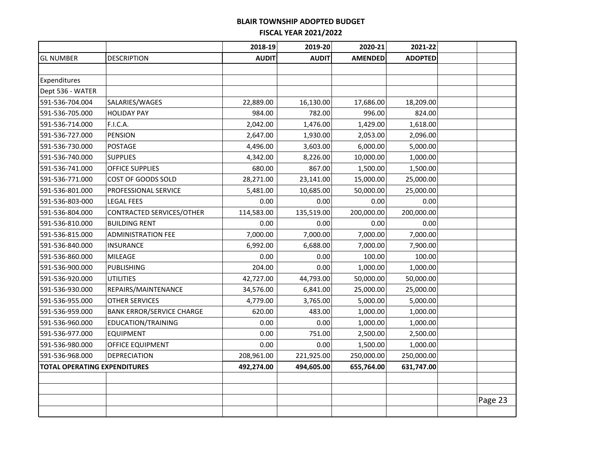|                                     |                                  | 2018-19      | 2019-20      | 2020-21        | 2021-22        |         |
|-------------------------------------|----------------------------------|--------------|--------------|----------------|----------------|---------|
| <b>GL NUMBER</b>                    | <b>DESCRIPTION</b>               | <b>AUDIT</b> | <b>AUDIT</b> | <b>AMENDED</b> | <b>ADOPTED</b> |         |
|                                     |                                  |              |              |                |                |         |
| Expenditures                        |                                  |              |              |                |                |         |
| Dept 536 - WATER                    |                                  |              |              |                |                |         |
| 591-536-704.004                     | SALARIES/WAGES                   | 22,889.00    | 16,130.00    | 17,686.00      | 18,209.00      |         |
| 591-536-705.000                     | <b>HOLIDAY PAY</b>               | 984.00       | 782.00       | 996.00         | 824.00         |         |
| 591-536-714.000                     | F.I.C.A.                         | 2,042.00     | 1,476.00     | 1,429.00       | 1,618.00       |         |
| 591-536-727.000                     | <b>PENSION</b>                   | 2,647.00     | 1,930.00     | 2,053.00       | 2,096.00       |         |
| 591-536-730.000                     | POSTAGE                          | 4,496.00     | 3,603.00     | 6,000.00       | 5,000.00       |         |
| 591-536-740.000                     | <b>SUPPLIES</b>                  | 4,342.00     | 8,226.00     | 10,000.00      | 1,000.00       |         |
| 591-536-741.000                     | OFFICE SUPPLIES                  | 680.00       | 867.00       | 1,500.00       | 1,500.00       |         |
| 591-536-771.000                     | COST OF GOODS SOLD               | 28,271.00    | 23,141.00    | 15,000.00      | 25,000.00      |         |
| 591-536-801.000                     | PROFESSIONAL SERVICE             | 5,481.00     | 10,685.00    | 50,000.00      | 25,000.00      |         |
| 591-536-803-000                     | <b>LEGAL FEES</b>                | 0.00         | 0.00         | 0.00           | 0.00           |         |
| 591-536-804.000                     | CONTRACTED SERVICES/OTHER        | 114,583.00   | 135,519.00   | 200,000.00     | 200,000.00     |         |
| 591-536-810.000                     | <b>BUILDING RENT</b>             | 0.00         | 0.00         | 0.00           | 0.00           |         |
| 591-536-815.000                     | <b>ADMINISTRATION FEE</b>        | 7,000.00     | 7,000.00     | 7,000.00       | 7,000.00       |         |
| 591-536-840.000                     | <b>INSURANCE</b>                 | 6,992.00     | 6,688.00     | 7,000.00       | 7,900.00       |         |
| 591-536-860.000                     | MILEAGE                          | 0.00         | 0.00         | 100.00         | 100.00         |         |
| 591-536-900.000                     | <b>PUBLISHING</b>                | 204.00       | 0.00         | 1,000.00       | 1,000.00       |         |
| 591-536-920.000                     | <b>UTILITIES</b>                 | 42,727.00    | 44,793.00    | 50,000.00      | 50,000.00      |         |
| 591-536-930.000                     | REPAIRS/MAINTENANCE              | 34,576.00    | 6,841.00     | 25,000.00      | 25,000.00      |         |
| 591-536-955.000                     | <b>OTHER SERVICES</b>            | 4,779.00     | 3,765.00     | 5,000.00       | 5,000.00       |         |
| 591-536-959.000                     | <b>BANK ERROR/SERVICE CHARGE</b> | 620.00       | 483.00       | 1,000.00       | 1,000.00       |         |
| 591-536-960.000                     | EDUCATION/TRAINING               | 0.00         | 0.00         | 1,000.00       | 1,000.00       |         |
| 591-536-977.000                     | <b>EQUIPMENT</b>                 | 0.00         | 751.00       | 2,500.00       | 2,500.00       |         |
| 591-536-980.000                     | <b>OFFICE EQUIPMENT</b>          | 0.00         | 0.00         | 1,500.00       | 1,000.00       |         |
| 591-536-968.000                     | <b>DEPRECIATION</b>              | 208,961.00   | 221,925.00   | 250,000.00     | 250,000.00     |         |
| <b>TOTAL OPERATING EXPENDITURES</b> |                                  | 492,274.00   | 494,605.00   | 655,764.00     | 631,747.00     |         |
|                                     |                                  |              |              |                |                |         |
|                                     |                                  |              |              |                |                |         |
|                                     |                                  |              |              |                |                | Page 23 |
|                                     |                                  |              |              |                |                |         |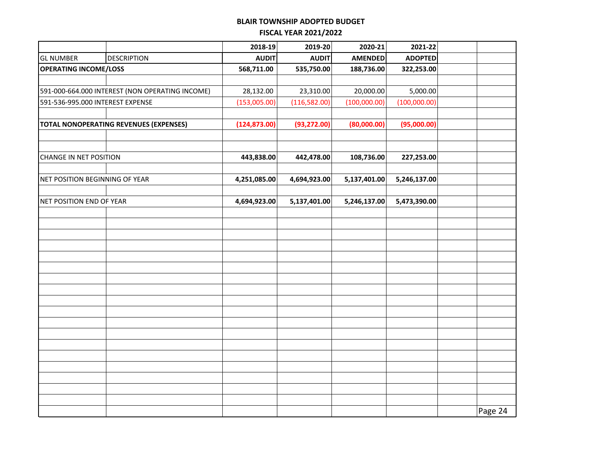|                                                 |                    | 2018-19       | 2019-20      | 2020-21        | 2021-22        |         |
|-------------------------------------------------|--------------------|---------------|--------------|----------------|----------------|---------|
| <b>GL NUMBER</b>                                | <b>DESCRIPTION</b> | <b>AUDIT</b>  | <b>AUDIT</b> | <b>AMENDED</b> | <b>ADOPTED</b> |         |
| <b>OPERATING INCOME/LOSS</b>                    |                    | 568,711.00    | 535,750.00   | 188,736.00     | 322,253.00     |         |
|                                                 |                    |               |              |                |                |         |
| 591-000-664.000 INTEREST (NON OPERATING INCOME) |                    | 28,132.00     | 23,310.00    | 20,000.00      | 5,000.00       |         |
| 591-536-995.000 INTEREST EXPENSE                |                    | (153,005.00)  | (116,582.00) | (100,000.00)   | (100,000.00)   |         |
|                                                 |                    |               |              |                |                |         |
| <b>TOTAL NONOPERATING REVENUES (EXPENSES)</b>   |                    | (124, 873.00) | (93, 272.00) | (80,000.00)    | (95,000.00)    |         |
|                                                 |                    |               |              |                |                |         |
|                                                 |                    |               |              |                |                |         |
| <b>CHANGE IN NET POSITION</b>                   |                    | 443,838.00    | 442,478.00   | 108,736.00     | 227,253.00     |         |
|                                                 |                    |               |              |                |                |         |
| NET POSITION BEGINNING OF YEAR                  |                    | 4,251,085.00  | 4,694,923.00 | 5,137,401.00   | 5,246,137.00   |         |
|                                                 |                    |               |              |                |                |         |
| NET POSITION END OF YEAR                        |                    | 4,694,923.00  | 5,137,401.00 | 5,246,137.00   | 5,473,390.00   |         |
|                                                 |                    |               |              |                |                |         |
|                                                 |                    |               |              |                |                |         |
|                                                 |                    |               |              |                |                |         |
|                                                 |                    |               |              |                |                |         |
|                                                 |                    |               |              |                |                |         |
|                                                 |                    |               |              |                |                |         |
|                                                 |                    |               |              |                |                |         |
|                                                 |                    |               |              |                |                |         |
|                                                 |                    |               |              |                |                |         |
|                                                 |                    |               |              |                |                |         |
|                                                 |                    |               |              |                |                |         |
|                                                 |                    |               |              |                |                |         |
|                                                 |                    |               |              |                |                |         |
|                                                 |                    |               |              |                |                |         |
|                                                 |                    |               |              |                |                |         |
|                                                 |                    |               |              |                |                |         |
|                                                 |                    |               |              |                |                |         |
|                                                 |                    |               |              |                |                |         |
|                                                 |                    |               |              |                |                | Page 24 |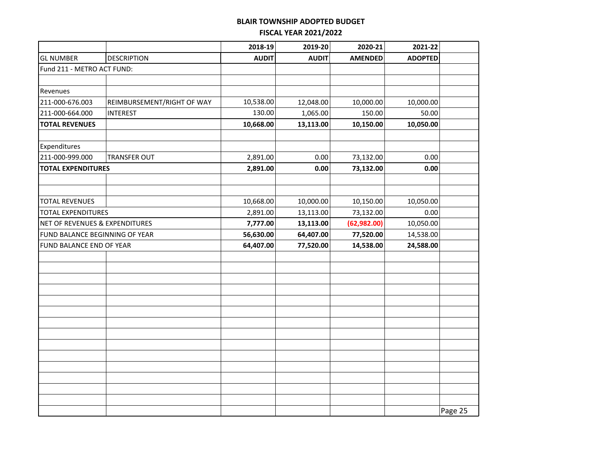|                                |                            | 2018-19      | 2019-20      | 2020-21        | 2021-22        |         |
|--------------------------------|----------------------------|--------------|--------------|----------------|----------------|---------|
| <b>GL NUMBER</b>               | <b>DESCRIPTION</b>         | <b>AUDIT</b> | <b>AUDIT</b> | <b>AMENDED</b> | <b>ADOPTED</b> |         |
| Fund 211 - METRO ACT FUND:     |                            |              |              |                |                |         |
|                                |                            |              |              |                |                |         |
| Revenues                       |                            |              |              |                |                |         |
| 211-000-676.003                | REIMBURSEMENT/RIGHT OF WAY | 10,538.00    | 12,048.00    | 10,000.00      | 10,000.00      |         |
| 211-000-664.000                | <b>INTEREST</b>            | 130.00       | 1,065.00     | 150.00         | 50.00          |         |
| <b>TOTAL REVENUES</b>          |                            | 10,668.00    | 13,113.00    | 10,150.00      | 10,050.00      |         |
|                                |                            |              |              |                |                |         |
| Expenditures                   |                            |              |              |                |                |         |
| 211-000-999.000                | <b>TRANSFER OUT</b>        | 2,891.00     | 0.00         | 73,132.00      | 0.00           |         |
| <b>TOTAL EXPENDITURES</b>      |                            | 2,891.00     | 0.00         | 73,132.00      | 0.00           |         |
|                                |                            |              |              |                |                |         |
|                                |                            |              |              |                |                |         |
| <b>TOTAL REVENUES</b>          |                            | 10,668.00    | 10,000.00    | 10,150.00      | 10,050.00      |         |
| <b>TOTAL EXPENDITURES</b>      |                            | 2,891.00     | 13,113.00    | 73,132.00      | 0.00           |         |
| NET OF REVENUES & EXPENDITURES |                            | 7,777.00     | 13,113.00    | (62, 982.00)   | 10,050.00      |         |
| FUND BALANCE BEGINNING OF YEAR |                            | 56,630.00    | 64,407.00    | 77,520.00      | 14,538.00      |         |
| FUND BALANCE END OF YEAR       |                            | 64,407.00    | 77,520.00    | 14,538.00      | 24,588.00      |         |
|                                |                            |              |              |                |                |         |
|                                |                            |              |              |                |                |         |
|                                |                            |              |              |                |                |         |
|                                |                            |              |              |                |                |         |
|                                |                            |              |              |                |                |         |
|                                |                            |              |              |                |                |         |
|                                |                            |              |              |                |                |         |
|                                |                            |              |              |                |                |         |
|                                |                            |              |              |                |                |         |
|                                |                            |              |              |                |                |         |
|                                |                            |              |              |                |                |         |
|                                |                            |              |              |                |                |         |
|                                |                            |              |              |                |                |         |
|                                |                            |              |              |                |                |         |
|                                |                            |              |              |                |                | Page 25 |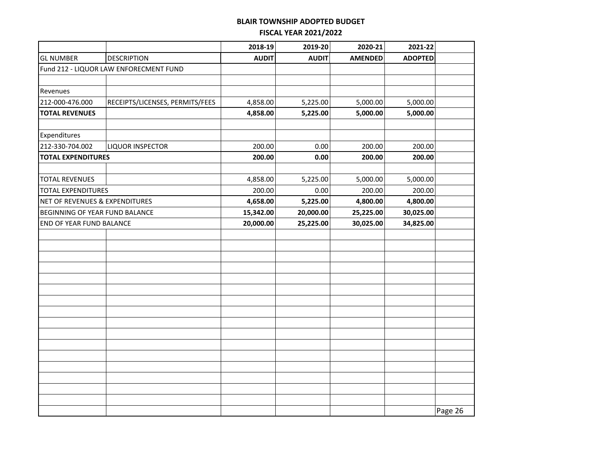|                                 |                                        | 2018-19      | 2019-20      | 2020-21        | 2021-22        |         |
|---------------------------------|----------------------------------------|--------------|--------------|----------------|----------------|---------|
| <b>GL NUMBER</b>                | <b>DESCRIPTION</b>                     | <b>AUDIT</b> | <b>AUDIT</b> | <b>AMENDED</b> | <b>ADOPTED</b> |         |
|                                 | Fund 212 - LIQUOR LAW ENFORECMENT FUND |              |              |                |                |         |
|                                 |                                        |              |              |                |                |         |
| Revenues                        |                                        |              |              |                |                |         |
| 212-000-476.000                 | RECEIPTS/LICENSES, PERMITS/FEES        | 4,858.00     | 5,225.00     | 5,000.00       | 5,000.00       |         |
| <b>TOTAL REVENUES</b>           |                                        | 4,858.00     | 5,225.00     | 5,000.00       | 5,000.00       |         |
| Expenditures                    |                                        |              |              |                |                |         |
| 212-330-704.002                 | LIQUOR INSPECTOR                       | 200.00       | 0.00         | 200.00         | 200.00         |         |
| <b>TOTAL EXPENDITURES</b>       |                                        | 200.00       | 0.00         | 200.00         | 200.00         |         |
|                                 |                                        |              |              |                |                |         |
| <b>TOTAL REVENUES</b>           |                                        | 4,858.00     | 5,225.00     | 5,000.00       | 5,000.00       |         |
| <b>TOTAL EXPENDITURES</b>       |                                        | 200.00       | 0.00         | 200.00         | 200.00         |         |
| NET OF REVENUES & EXPENDITURES  |                                        | 4,658.00     | 5,225.00     | 4,800.00       | 4,800.00       |         |
| BEGINNING OF YEAR FUND BALANCE  |                                        | 15,342.00    | 20,000.00    | 25,225.00      | 30,025.00      |         |
| <b>END OF YEAR FUND BALANCE</b> |                                        | 20,000.00    | 25,225.00    | 30,025.00      | 34,825.00      |         |
|                                 |                                        |              |              |                |                |         |
|                                 |                                        |              |              |                |                |         |
|                                 |                                        |              |              |                |                |         |
|                                 |                                        |              |              |                |                |         |
|                                 |                                        |              |              |                |                |         |
|                                 |                                        |              |              |                |                |         |
|                                 |                                        |              |              |                |                |         |
|                                 |                                        |              |              |                |                |         |
|                                 |                                        |              |              |                |                |         |
|                                 |                                        |              |              |                |                |         |
|                                 |                                        |              |              |                |                |         |
|                                 |                                        |              |              |                |                |         |
|                                 |                                        |              |              |                |                |         |
|                                 |                                        |              |              |                |                |         |
|                                 |                                        |              |              |                |                |         |
|                                 |                                        |              |              |                |                |         |
|                                 |                                        |              |              |                |                | Page 26 |